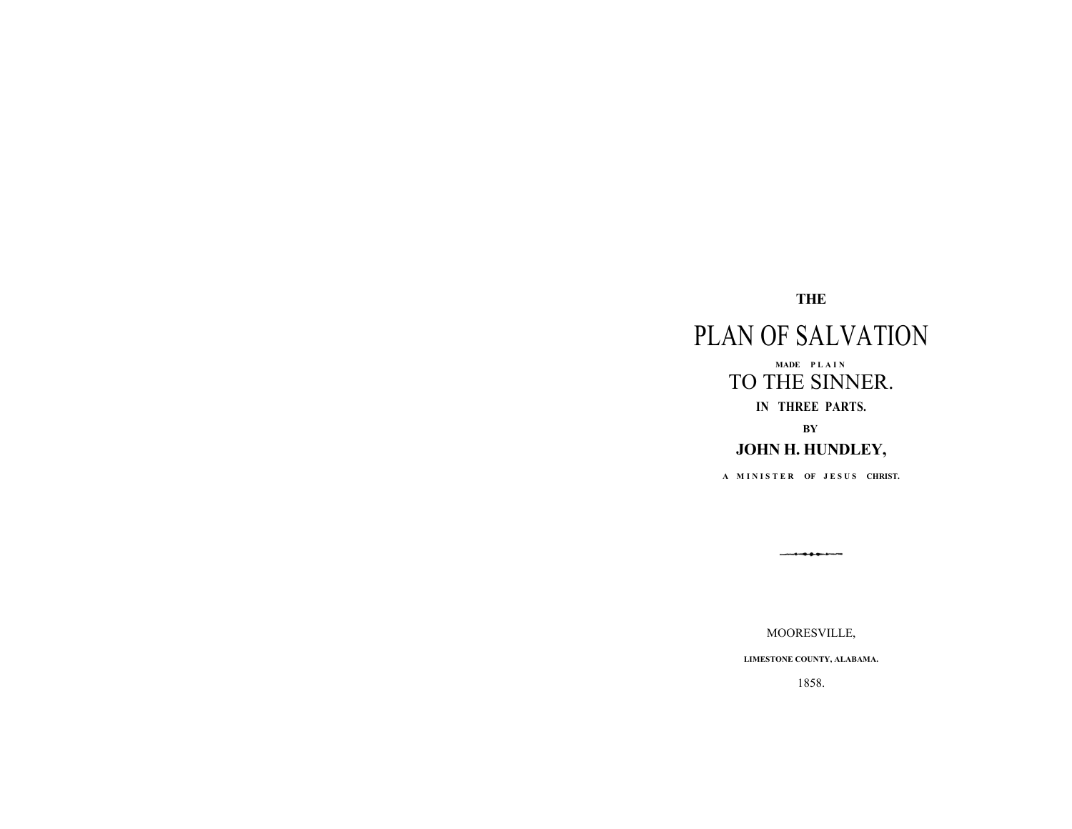# **THE**

# PLAN OF SALVATION **MADE P L A I N**TO THE SINNER. **IN THREE PARTS. BY JOHN H. HUNDLEY,**

A MINISTER OF JESUS CHRIST.

MOORESVILLE,

**LIMESTONE COUNTY, ALABAMA.**

1858.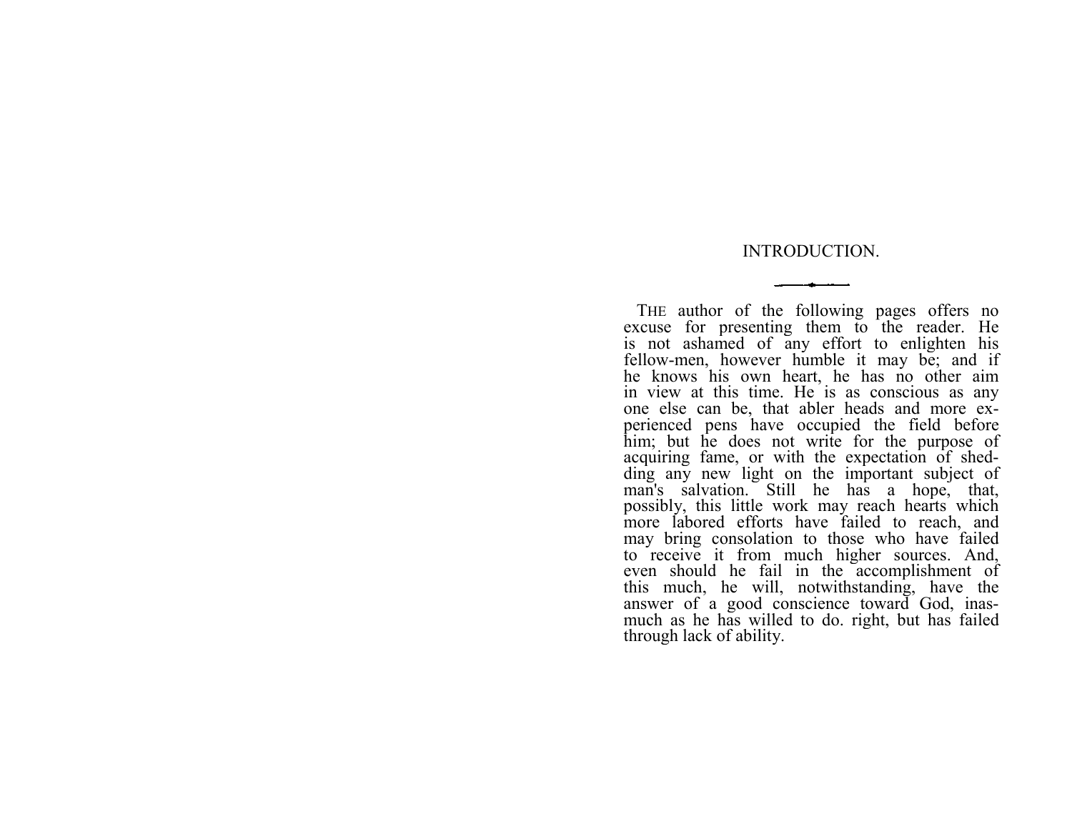### INTRODUCTION.

THE author of the following pages offers no excuse for presenting them to the reader. He is not ashamed of any effort to enlighten his fellow-men, however humble it may be; and if he knows his own heart, he has no other aim in view at this time. He is as conscious as any one else can be, that abler heads and more experienced pens have occupied the field before him; but he does not write for the purpose of acquiring fame, or with the expectation of shedding any new light on the important subject of man's salvation. Still he has a hope, that, possibly, this little work may reach hearts which more labored efforts have failed to reach, and may bring consolation to those who have failed to receive it from much higher sources. And, even should he fail in the accomplishment of this much, he will, notwithstanding, have the answer of a good conscience toward God, inasmuch as he has willed to do. right, but has failed through lack of ability.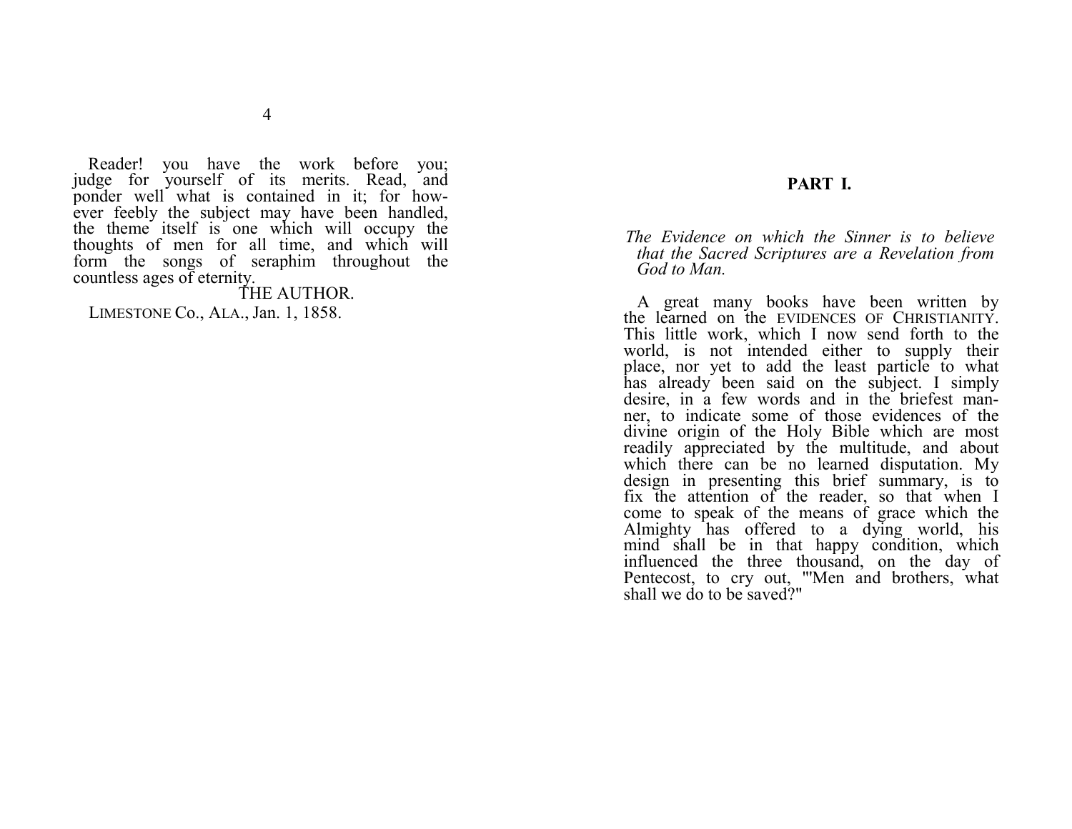Reader! you have the work before you; judge for yourself of its merits. Read, and ponder well what is contained in it; for however feebly the subject may have been handled, the theme itself is one which will occupy the thoughts of men for all time, and which will form the songs of seraphim throughout the countless ages of eternity.

# THE AUTHOR.

LIMESTONE Co., ALA., Jan. 1, 1858.

# **PART I.**

*The Evidence on which the Sinner is to believe that the Sacred Scriptures are a Revelation from God to Man.*

A great many books have been written by the learned on the EVIDENCES OF CHRISTIANITY. This little work, which I now send forth to the world, is not intended either to supply their place, nor yet to add the least particle to what has already been said on the subject. I simply desire, in a few words and in the briefest manner, to indicate some of those evidences of the divine origin of the Holy Bible which are most readily appreciated by the multitude, and about which there can be no learned disputation. My design in presenting this brief summary, is to fix the attention of the reader, so that when I come to speak of the means of grace which the Almighty has offered to a dying world, his mind shall be in that happy condition, which influenced the three thousand, on the day of Pentecost, to cry out, "'Men and brothers, what shall we do to be saved?"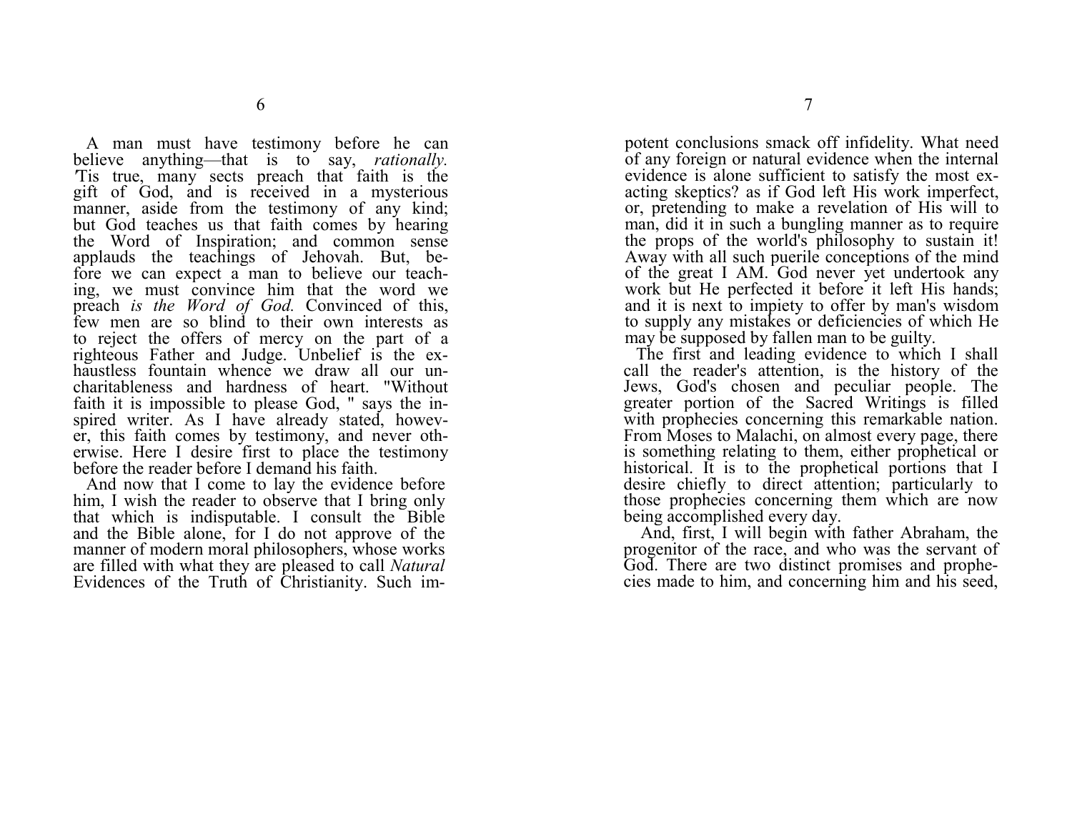A man must have testimony before he can believe anything—that is to say, *rationally*. Tis true, many sects preach that faith is the gift of God, and is received in a mysterious manner, aside from the testimony of any kind; but God teaches us that faith comes by hearing the Word of Inspiration; and common sense applauds the teachings of Jehovah. But, before we can expect a man to believe our teaching, we must convince him that the word we preach *is the Word of God.* Convinced of this, few men are so blind to their own interests as to reject the offers of mercy on the part of a righteous Father and Judge. Unbelief is the exhaustless fountain whence we draw all our uncharitableness and hardness of heart. "Without faith it is impossible to please God, " says the inspired writer. As I have already stated, however, this faith comes by testimony, and never otherwise. Here I desire first to place the testimony before the reader before I demand his faith.

And now that I come to lay the evidence before him, I wish the reader to observe that I bring only that which is indisputable. I consult the Bible and the Bible alone, for I do not approve of the manner of modern moral philosophers, whose works are filled with what they are pleased to call *Natural*  Evidences of the Truth of Christianity. Such impotent conclusions smack off infidelity. What need of any foreign or natural evidence when the internal evidence is alone sufficient to satisfy the most exacting skeptics? as if God left His work imperfect, or, pretending to make a revelation of His will to man, did it in such a bungling manner as to require the props of the world's philosophy to sustain it! Away with all such puerile conceptions of the mind of the great I AM. God never yet undertook any work but He perfected it before it left His hands; and it is next to impiety to offer by man's wisdom to supply any mistakes or deficiencies of which He may be supposed by fallen man to be guilty.

The first and leading evidence to which I shall call the reader's attention, is the history of the Jews, God's chosen and peculiar people. The greater portion of the Sacred Writings is filled with prophecies concerning this remarkable nation. From Moses to Malachi, on almost every page, there is something relating to them, either prophetical or historical. It is to the prophetical portions that I desire chiefly to direct attention; particularly to those prophecies concerning them which are now being accomplished every day.

 And, first, I will begin with father Abraham, the progenitor of the race, and who was the servant of God. There are two distinct promises and prophecies made to him, and concerning him and his seed,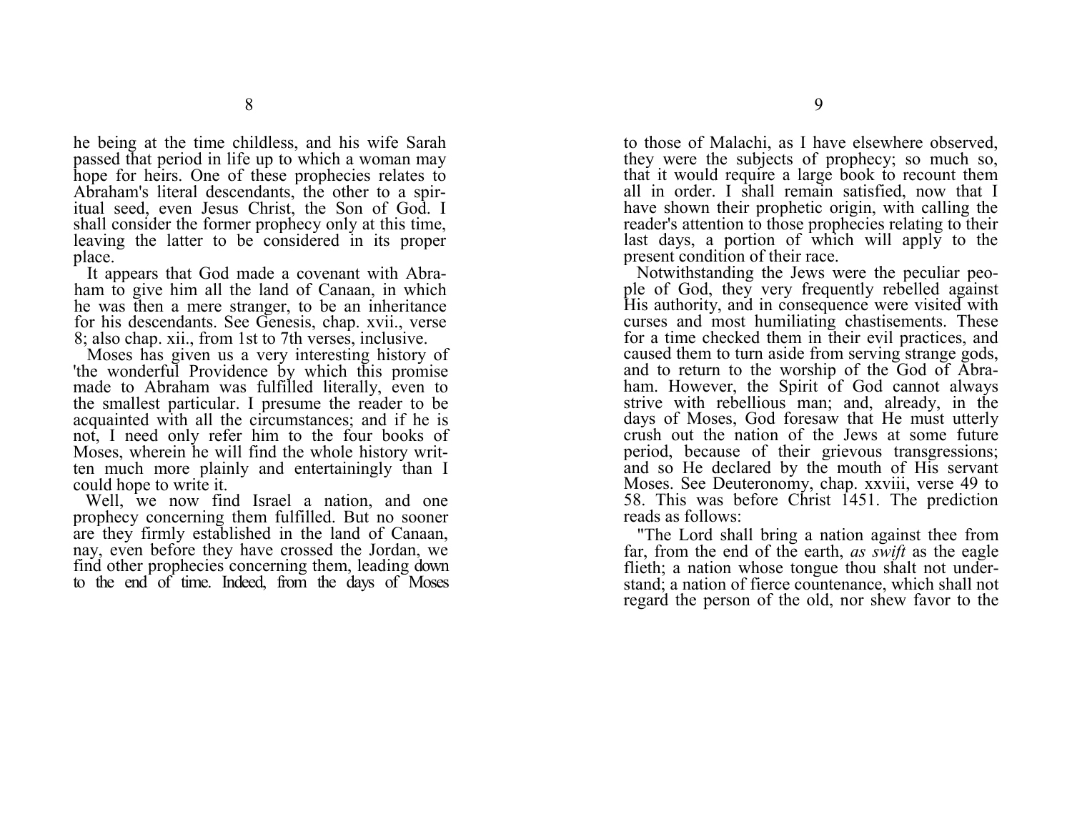he being at the time childless, and his wife Sarah passed that period in life up to which a woman may hope for heirs. One of these prophecies relates to Abraham's literal descendants, the other to a spiritual seed, even Jesus Christ, the Son of God. I shall consider the former prophecy only at this time, leaving the latter to be considered in its proper place.

It appears that God made a covenant with Abraham to give him all the land of Canaan, in which he was then a mere stranger, to be an inheritance for his descendants. See Genesis, chap. xvii., verse 8; also chap. xii., from 1st to 7th verses, inclusive.

Moses has given us a very interesting history of 'the wonderful Providence by which this promise made to Abraham was fulfilled literally, even to the smallest particular. I presume the reader to be acquainted with all the circumstances; and if he is not, I need only refer him to the four books of Moses, wherein he will find the whole history written much more plainly and entertainingly than I could hope to write it.

Well, we now find Israel a nation, and one prophecy concerning them fulfilled. But no sooner are they firmly established in the land of Canaan, nay, even before they have crossed the Jordan, we find other prophecies concerning them, leading down to the end of time. Indeed, from the days of Moses to those of Malachi, as I have elsewhere observed, they were the subjects of prophecy; so much so, that it would require a large book to recount them all in order. I shall remain satisfied, now that I have shown their prophetic origin, with calling the reader's attention to those prophecies relating to their last days, a portion of which will apply to the present condition of their race.

Notwithstanding the Jews were the peculiar people of God, they very frequently rebelled against His authority, and in consequence were visited with curses and most humiliating chastisements. These for a time checked them in their evil practices, and caused them to turn aside from serving strange gods, and to return to the worship of the God of Abraham. However, the Spirit of God cannot always strive with rebellious man; and, already, in the days of Moses, God foresaw that He must utterly crush out the nation of the Jews at some future period, because of their grievous transgressions; and so He declared by the mouth of His servant Moses. See Deuteronomy, chap. xxviii, verse 49 to 58. This was before Christ 1451. The prediction reads as follows:

"The Lord shall bring a nation against thee from far, from the end of the earth, *as swift* as the eagle flieth; a nation whose tongue thou shalt not understand; a nation of fierce countenance, which shall not regard the person of the old, nor shew favor to the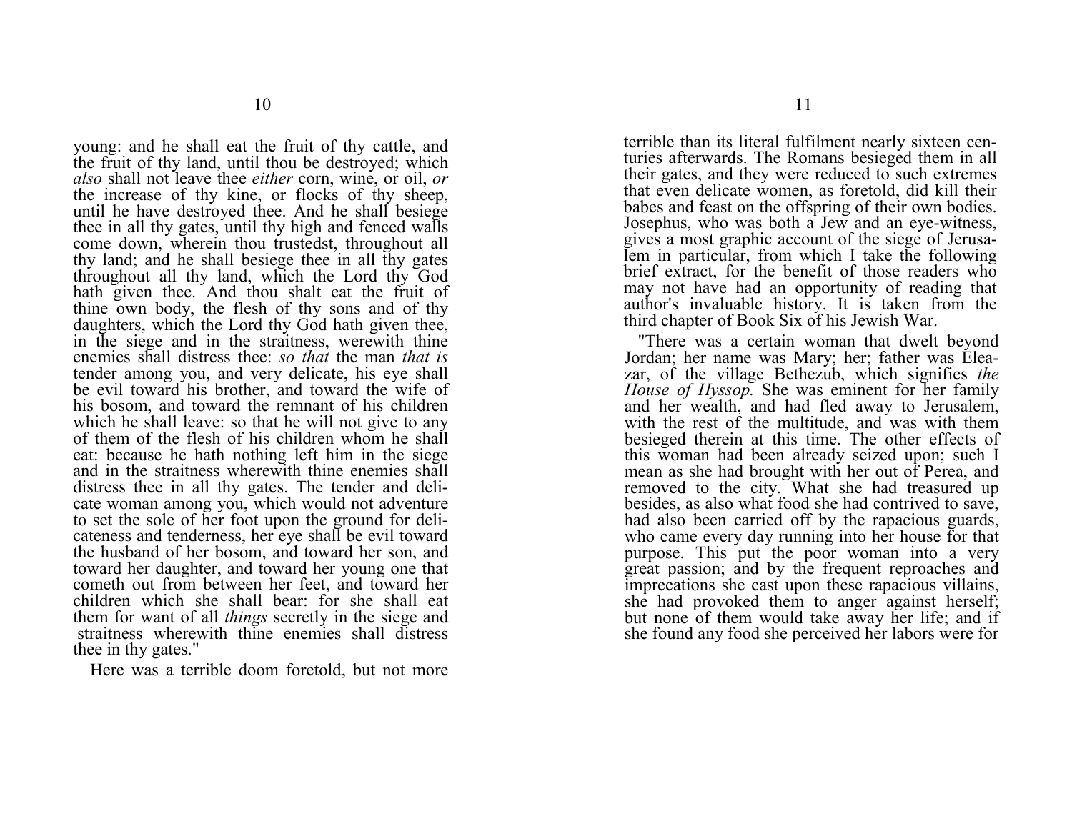young: and he shall eat the fruit of thy cattle, and the fruit of thy land, until thou be destroyed; which *also* shall not leave thee *either* corn, wine, or oil, *or*  the increase of thy kine, or flocks of thy sheep, until he have destroyed thee. And he shall besiege thee in all thy gates, until thy high and fenced walls come down, wherein thou trustedst, throughout all thy land; and he shall besiege thee in all thy gates throughout all thy land, which the Lord thy God hath given thee. And thou shalt eat the fruit of thine own body, the flesh of thy sons and of thy daughters, which the Lord thy God hath given thee, in the siege and in the straitness, werewith thine enemies shall distress thee: *so that* the man *that is* tender among you, and very delicate, his eye shall be evil toward his brother, and toward the wife of his bosom, and toward the remnant of his children which he shall leave: so that he will not give to any of them of the flesh of his children whom he shall eat: because he hath nothing left him in the siege and in the straitness wherewith thine enemies shall distress thee in all thy gates. The tender and delicate woman among you, which would not adventure to set the sole of her foot upon the ground for delicateness and tenderness, her eye shall be evil toward the husband of her bosom, and toward her son, and toward her daughter, and toward her young one that cometh out from between her feet, and toward her children which she shall bear: for she shall eat them for want of all *things* secretly in the siege and straitness wherewith thine enemies shall distress thee in thy gates."

Here was a terrible doom foretold, but not more

terrible than its literal fulfilment nearly sixteen centuries afterwards. The Romans besieged them in all their gates, and they were reduced to such extremes that even delicate women, as foretold, did kill their babes and feast on the offspring of their own bodies. Josephus, who was both a Jew and an eye-witness, gives a most graphic account of the siege of Jerusalem in particular, from which I take the following brief extract, for the benefit of those readers who may not have had an opportunity of reading that author's invaluable history. It is taken from the third chapter of Book Six of his Jewish War.

"There was a certain woman that dwelt beyond Jordan; her name was Mary; her; father was Eleazar, of the village Bethezub, which signifies *the House of Hyssop.* She was eminent for her family and her wealth, and had fled away to Jerusalem, with the rest of the multitude, and was with them besieged therein at this time. The other effects of this woman had been already seized upon; such I mean as she had brought with her out of Perea, and removed to the city. What she had treasured up besides, as also what food she had contrived to save, had also been carried off by the rapacious guards, who came every day running into her house for that purpose. This put the poor woman into a very great passion; and by the frequent reproaches and imprecations she cast upon these rapacious villains, she had provoked them to anger against herself; but none of them would take away her life; and if she found any food she perceived her labors were for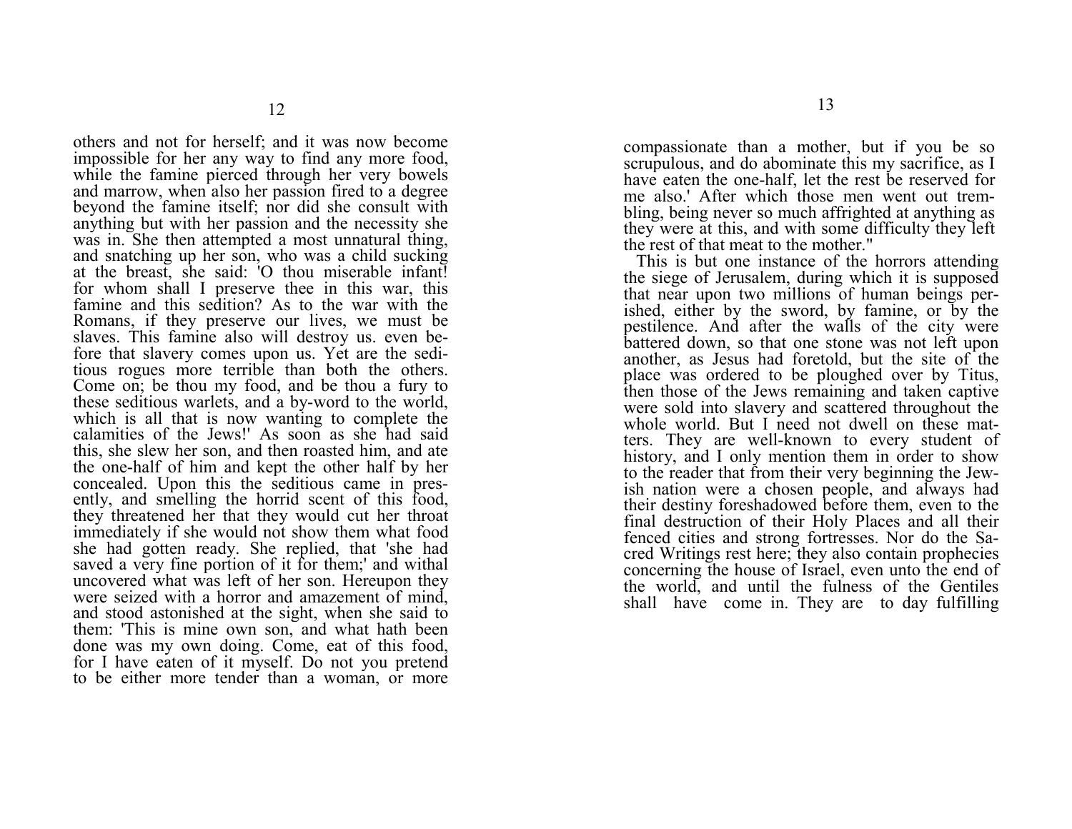others and not for herself; and it was now become impossible for her any way to find any more food, while the famine pierced through her very bowels and marrow, when also her passion fired to a degree beyond the famine itself; nor did she consult with anything but with her passion and the necessity she was in. She then attempted a most unnatural thing, and snatching up her son, who was a child sucking at the breast, she said: 'O thou miserable infant! for whom shall I preserve thee in this war, this famine and this sedition? As to the war with the Romans, if they preserve our lives, we must be slaves. This famine also will destroy us. even before that slavery comes upon us. Yet are the seditious rogues more terrible than both the others. Come on; be thou my food, and be thou a fury to these seditious warlets, and a by-word to the world, which is all that is now wanting to complete the calamities of the Jews!' As soon as she had said this, she slew her son, and then roasted him, and ate the one-half of him and kept the other half by her concealed. Upon this the seditious came in presently, and smelling the horrid scent of this food, they threatened her that they would cut her throat immediately if she would not show them what food she had gotten ready. She replied, that 'she had saved a very fine portion of it for them;' and withal uncovered what was left of her son. Hereupon they were seized with a horror and amazement of mind, and stood astonished at the sight, when she said to them: 'This is mine own son, and what hath been done was my own doing. Come, eat of this food, for I have eaten of it myself. Do not you pretend to be either more tender than a woman, or more

compassionate than a mother, but if you be so scrupulous, and do abominate this my sacrifice, as I have eaten the one-half, let the rest be reserved for me also.' After which those men went out trembling, being never so much affrighted at anything as they were at this, and with some difficulty they left the rest of that meat to the mother."

This is but one instance of the horrors attending the siege of Jerusalem, during which it is supposed that near upon two millions of human beings perished, either by the sword, by famine, or by the pestilence. And after the walls of the city were battered down, so that one stone was not left upon another, as Jesus had foretold, but the site of the place was ordered to be ploughed over by Titus, then those of the Jews remaining and taken captive were sold into slavery and scattered throughout the whole world. But I need not dwell on these matters. They are well-known to every student of history, and I only mention them in order to show to the reader that from their very beginning the Jewish nation were a chosen people, and always had their destiny foreshadowed before them, even to the final destruction of their Holy Places and all their fenced cities and strong fortresses. Nor do the Sacred Writings rest here; they also contain prophecies concerning the house of Israel, even unto the end of the world, and until the fulness of the Gentiles shall have come in. They are to day fulfilling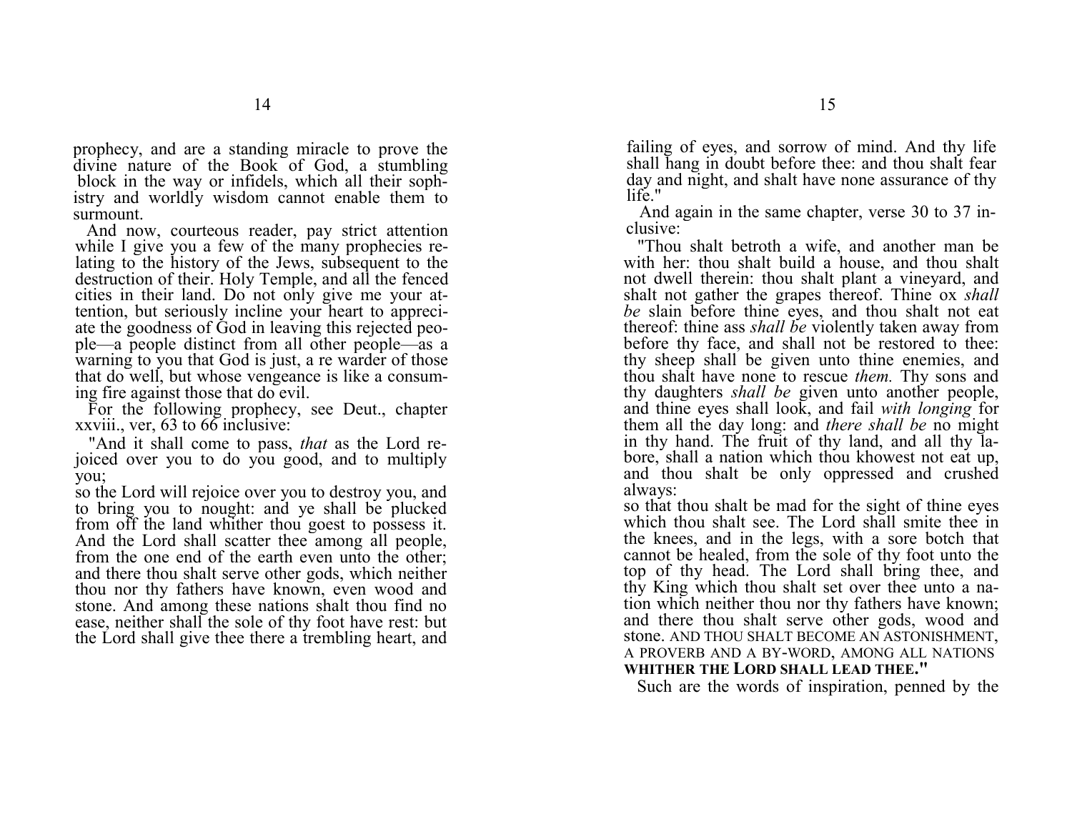prophecy, and are a standing miracle to prove the divine nature of the Book of God, a stumbling block in the way or infidels, which all their sophistry and worldly wisdom cannot enable them to surmount.

And now, courteous reader, pay strict attention while I give you a few of the many prophecies relating to the history of the Jews, subsequent to the destruction of their. Holy Temple, and all the fenced cities in their land. Do not only give me your attention, but seriously incline your heart to appreciate the goodness of God in leaving this rejected people—a people distinct from all other people—as a warning to you that God is just, a re warder of those that do well, but whose vengeance is like a consuming fire against those that do evil.

For the following prophecy, see Deut., chapter xxviii., ver, 63 to 66 inclusive:

"And it shall come to pass, *that* as the Lord rejoiced over you to do you good, and to multiply you;

so the Lord will rejoice over you to destroy you, and to bring you to nought: and ye shall be plucked from off the land whither thou goest to possess it. And the Lord shall scatter thee among all people, from the one end of the earth even unto the other; and there thou shalt serve other gods, which neither thou nor thy fathers have known, even wood and stone. And among these nations shalt thou find no ease, neither shall the sole of thy foot have rest: but the Lord shall give thee there a trembling heart, and

failing of eyes, and sorrow of mind. And thy life shall hang in doubt before thee: and thou shalt fear day and night, and shalt have none assurance of thy life<sup>"</sup>

And again in the same chapter, verse 30 to 37 inclusive:

"Thou shalt betroth a wife, and another man be with her: thou shalt build a house, and thou shalt not dwell therein: thou shalt plant a vineyard, and shalt not gather the grapes thereof. Thine ox *shall be* slain before thine eyes, and thou shalt not eat thereof: thine ass *shall be* violently taken away from before thy face, and shall not be restored to thee: thy sheep shall be given unto thine enemies, and thou shalt have none to rescue *them.* Thy sons and thy daughters *shall be* given unto another people, and thine eyes shall look, and fail *with longing* for them all the day long: and *there shall be* no might in thy hand. The fruit of thy land, and all thy labore, shall a nation which thou khowest not eat up, and thou shalt be only oppressed and crushed always:

so that thou shalt be mad for the sight of thine eyes which thou shalt see. The Lord shall smite thee in the knees, and in the legs, with a sore botch that cannot be healed, from the sole of thy foot unto the top of thy head. The Lord shall bring thee, and thy King which thou shalt set over thee unto a nation which neither thou nor thy fathers have known; and there thou shalt serve other gods, wood and stone. AND THOU SHALT BECOME AN ASTONISHMENT, A PROVERB AND A BY-WORD, AMONG ALL NATIONS **WHITHER THE LORD SHALL LEAD THEE."**

Such are the words of inspiration, penned by the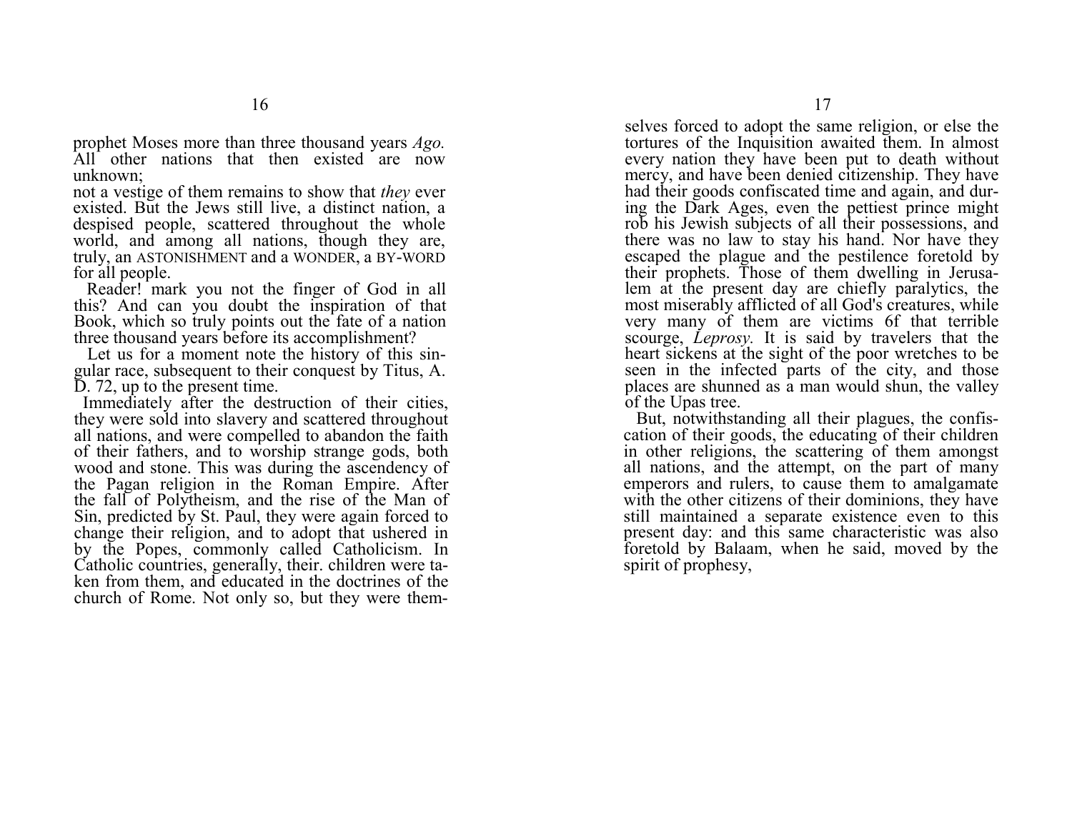prophet Moses more than three thousand years *Ago.*  All other nations that then existed are now unknown;

not a vestige of them remains to show that *they* ever existed. But the Jews still live, a distinct nation, a despised people, scattered throughout the whole world, and among all nations, though they are, truly, an ASTONISHMENT and a WONDER, a BY-WORD for all people.

Reader! mark you not the finger of God in all this? And can you doubt the inspiration of that Book, which so truly points out the fate of a nation three thousand years before its accomplishment?

Let us for a moment note the history of this singular race, subsequent to their conquest by Titus, A. D. 72, up to the present time.

 Immediately after the destruction of their cities, they were sold into slavery and scattered throughout all nations, and were compelled to abandon the faith of their fathers, and to worship strange gods, both wood and stone. This was during the ascendency of the Pagan religion in the Roman Empire. After the fall of Polytheism, and the rise of the Man of Sin, predicted by St. Paul, they were again forced to change their religion, and to adopt that ushered in by the Popes, commonly called Catholicism. In Catholic countries, generally, their. children were taken from them, and educated in the doctrines of the church of Rome. Not only so, but they were them-

selves forced to adopt the same religion, or else the tortures of the Inquisition awaited them. In almost every nation they have been put to death without mercy, and have been denied citizenship. They have had their goods confiscated time and again, and during the Dark Ages, even the pettiest prince might rob his Jewish subjects of all their possessions, and there was no law to stay his hand. Nor have they escaped the plague and the pestilence foretold by their prophets. Those of them dwelling in Jerusalem at the present day are chiefly paralytics, the most miserably afflicted of all God's creatures, while very many of them are victims 6f that terrible scourge, *Leprosy.* It is said by travelers that the heart sickens at the sight of the poor wretches to be seen in the infected parts of the city, and those places are shunned as a man would shun, the valley of the Upas tree.

But, notwithstanding all their plagues, the confiscation of their goods, the educating of their children in other religions, the scattering of them amongst all nations, and the attempt, on the part of many emperors and rulers, to cause them to amalgamate with the other citizens of their dominions, they have still maintained a separate existence even to this present day: and this same characteristic was also foretold by Balaam, when he said, moved by the spirit of prophesy,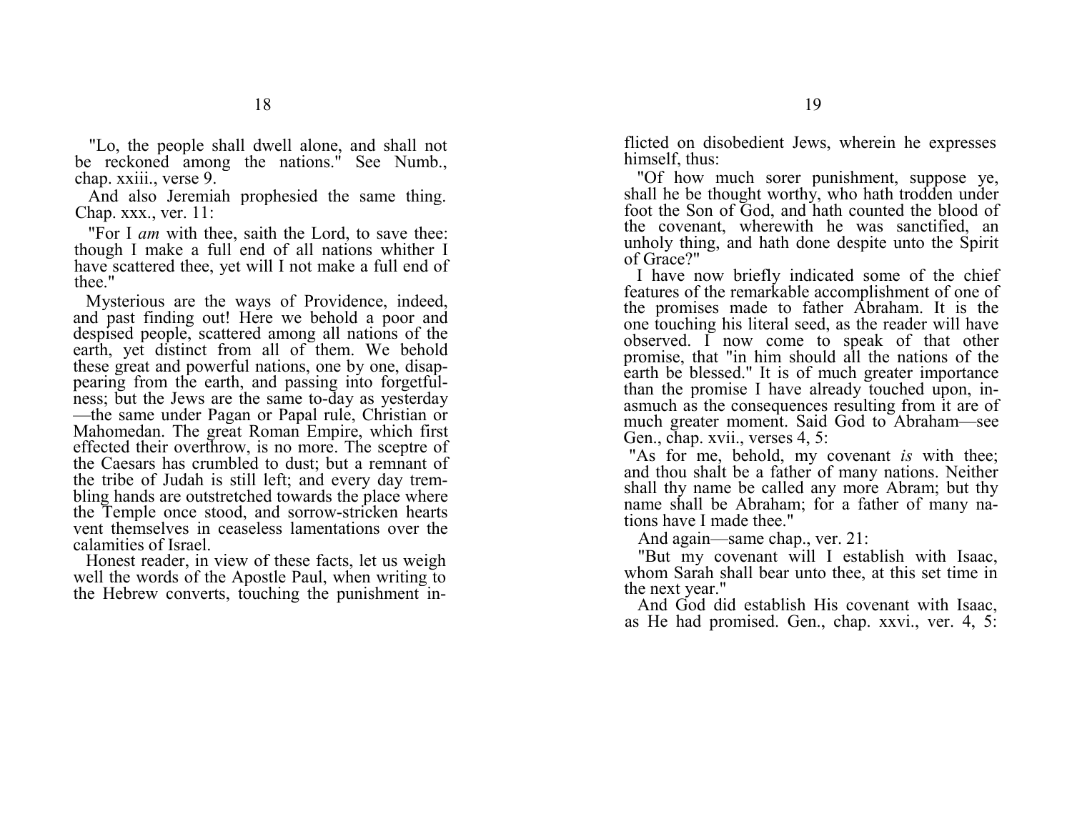"Lo, the people shall dwell alone, and shall not be reckoned among the nations." See Numb., chap. xxiii., verse 9.

And also Jeremiah prophesied the same thing. Chap. xxx., ver. 11:

"For I *am* with thee, saith the Lord, to save thee: though I make a full end of all nations whither I have scattered thee, yet will I not make a full end of thee."

Mysterious are the ways of Providence, indeed, and past finding out! Here we behold a poor and despised people, scattered among all nations of the earth, yet distinct from all of them. We behold these great and powerful nations, one by one, disappearing from the earth, and passing into forgetfulness; but the Jews are the same to-day as yesterday —the same under Pagan or Papal rule, Christian or Mahomedan. The great Roman Empire, which first effected their overthrow, is no more. The sceptre of the Caesars has crumbled to dust; but a remnant of the tribe of Judah is still left; and every day trembling hands are outstretched towards the place where the Temple once stood, and sorrow-stricken hearts vent themselves in ceaseless lamentations over the calamities of Israel.

 Honest reader, in view of these facts, let us weigh well the words of the Apostle Paul, when writing to the Hebrew converts, touching the punishment inflicted on disobedient Jews, wherein he expresses himself, thus:

"Of how much sorer punishment, suppose ye, shall he be thought worthy, who hath trodden under foot the Son of God, and hath counted the blood of the covenant, wherewith he was sanctified, an unholy thing, and hath done despite unto the Spirit of Grace?"

I have now briefly indicated some of the chief features of the remarkable accomplishment of one of the promises made to father Abraham. It is the one touching his literal seed, as the reader will have observed. I now come to speak of that other promise, that "in him should all the nations of the earth be blessed." It is of much greater importance than the promise I have already touched upon, inasmuch as the consequences resulting from it are of much greater moment. Said God to Abraham—see Gen., chap. xvii., verses 4, 5:

"As for me, behold, my covenant *is* with thee; and thou shalt be a father of many nations. Neither shall thy name be called any more Abram; but thy name shall be Abraham; for a father of many nations have I made thee."

And again—same chap., ver. 21:

"But my covenant will I establish with Isaac, whom Sarah shall bear unto thee, at this set time in the next year."

And God did establish His covenant with Isaac, as He had promised. Gen., chap. xxvi., ver. 4, 5: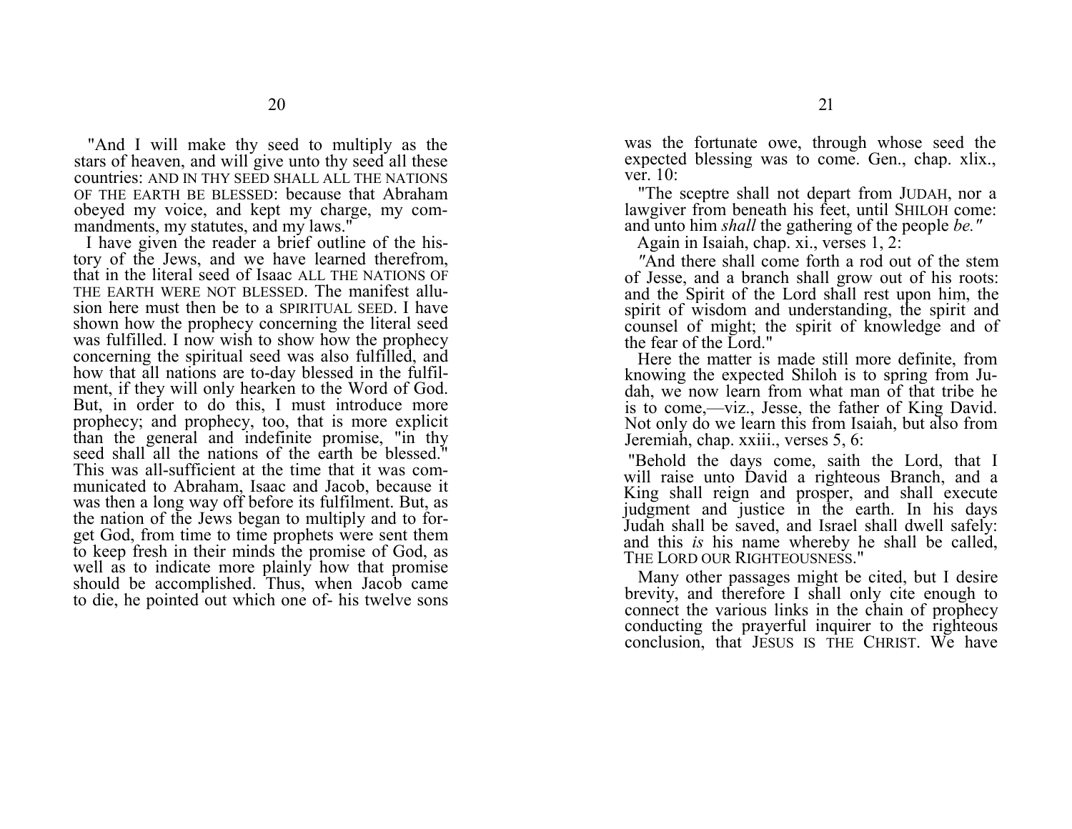"And I will make thy seed to multiply as the stars of heaven, and will give unto thy seed all these countries: AND IN THY SEED SHALL ALL THE NATIONSOF THE EARTH BE BLESSED: because that Abraham obeyed my voice, and kept my charge, my commandments, my statutes, and my laws."

I have given the reader a brief outline of the history of the Jews, and we have learned therefrom, that in the literal seed of Isaac ALL THE NATIONS OFTHE EARTH WERE NOT BLESSED. The manifest allusion here must then be to a SPIRITUAL SEED. I have shown how the prophecy concerning the literal seed was fulfilled. I now wish to show how the prophecy concerning the spiritual seed was also fulfilled, and how that all nations are to-day blessed in the fulfilment, if they will only hearken to the Word of God. But, in order to do this, I must introduce more prophecy; and prophecy, too, that is more explicit than the general and indefinite promise, "in thy seed shall all the nations of the earth be blessed." This was all-sufficient at the time that it was communicated to Abraham, Isaac and Jacob, because it was then a long way off before its fulfilment. But, as the nation of the Jews began to multiply and to forget God, from time to time prophets were sent them to keep fresh in their minds the promise of God, as well as to indicate more plainly how that promise should be accomplished. Thus, when Jacob came to die, he pointed out which one of- his twelve sons

was the fortunate owe, through whose seed the expected blessing was to come. Gen., chap. xlix., ver. 10:

"The sceptre shall not depart from JUDAH, nor a lawgiver from beneath his feet, until SHILOH come: and unto him *shall* the gathering of the people *be."*

Again in Isaiah, chap. xi., verses 1, 2:

*"*And there shall come forth a rod out of the stem of Jesse, and a branch shall grow out of his roots: and the Spirit of the Lord shall rest upon him, the spirit of wisdom and understanding, the spirit and counsel of might; the spirit of knowledge and of the fear of the Lord."

Here the matter is made still more definite, from knowing the expected Shiloh is to spring from Judah, we now learn from what man of that tribe he is to come,—viz., Jesse, the father of King David. Not only do we learn this from Isaiah, but also from Jeremiah, chap. xxiii., verses 5, 6:

 "Behold the days come, saith the Lord, that I will raise unto David a righteous Branch, and a King shall reign and prosper, and shall execute judgment and justice in the earth. In his days Judah shall be saved, and Israel shall dwell safely: and this *is* his name whereby he shall be called, THE LORD OUR RIGHTEOUSNESS."

Many other passages might be cited, but I desire brevity, and therefore I shall only cite enough to connect the various links in the chain of prophecy conducting the prayerful inquirer to the righteous conclusion, that JESUS IS THE CHRIST. We have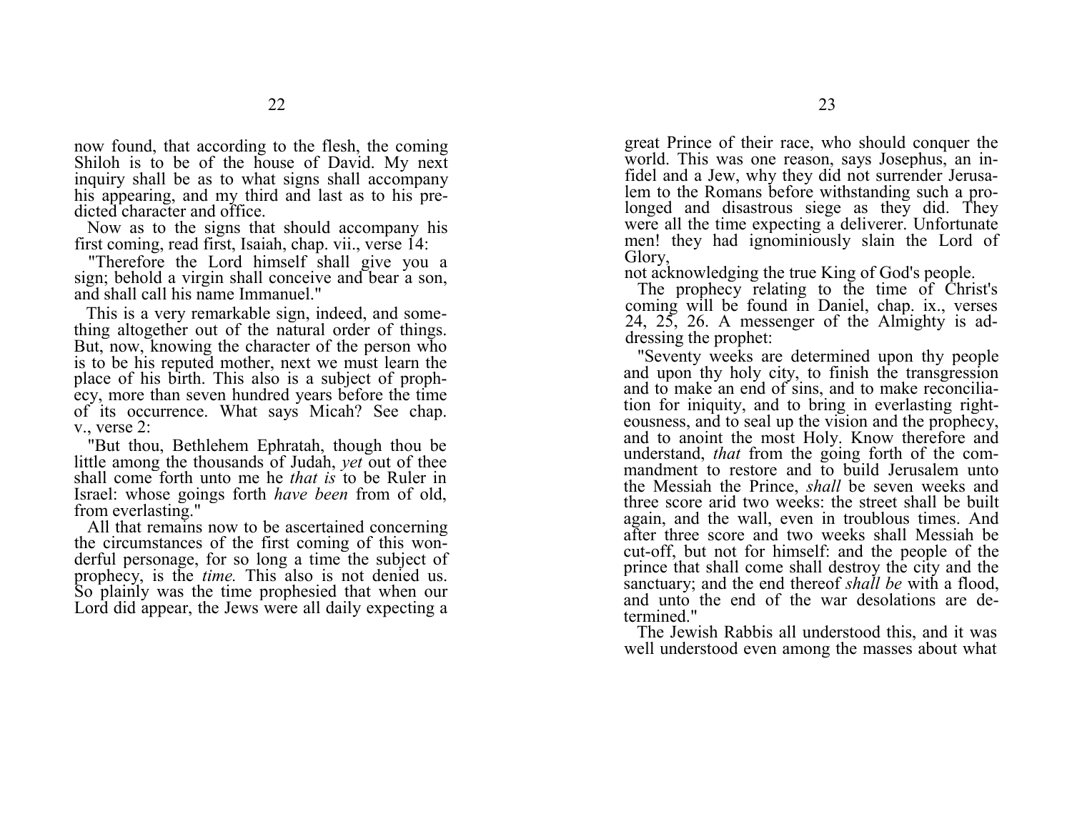now found, that according to the flesh, the coming Shiloh is to be of the house of David. My next inquiry shall be as to what signs shall accompany his appearing, and my third and last as to his predicted character and office.

Now as to the signs that should accompany his first coming, read first, Isaiah, chap. vii., verse 14:

"Therefore the Lord himself shall give you a sign; behold a virgin shall conceive and bear a son, and shall call his name Immanuel."

This is a very remarkable sign, indeed, and something altogether out of the natural order of things. But, now, knowing the character of the person who is to be his reputed mother, next we must learn the place of his birth. This also is a subject of prophecy, more than seven hundred years before the time of its occurrence. What says Micah? See chap. v., verse 2:

"But thou, Bethlehem Ephratah, though thou be little among the thousands of Judah, *yet* out of thee shall come forth unto me he *that is* to be Ruler in Israel: whose goings forth *have been* from of old, from everlasting."

All that remains now to be ascertained concerning the circumstances of the first coming of this wonderful personage, for so long a time the subject of prophecy, is the *time*. This also is not denied us. So plainly was the time prophesied that when our Lord did appear, the Jews were all daily expecting a

great Prince of their race, who should conquer the world. This was one reason, says Josephus, an infidel and a Jew, why they did not surrender Jerusalem to the Romans before withstanding such a prolonged and disastrous siege as they did. They were all the time expecting a deliverer. Unfortunate men! they had ignominiously slain the Lord of Glory,

not acknowledging the true King of God's people.

The prophecy relating to the time of Christ's coming will be found in Daniel, chap. ix., verses 24, 25, 26. A messenger of the Almighty is addressing the prophet:

"Seventy weeks are determined upon thy people and upon thy holy city, to finish the transgression and to make an end of sins, and to make reconciliation for iniquity, and to bring in everlasting righteousness, and to seal up the vision and the prophecy, and to anoint the most Holy. Know therefore and understand, *that* from the going forth of the commandment to restore and to build Jerusalem unto the Messiah the Prince, *shall* be seven weeks and three score arid two weeks: the street shall be built again, and the wall, even in troublous times. And after three score and two weeks shall Messiah be cut-off, but not for himself: and the people of the prince that shall come shall destroy the city and the sanctuary; and the end thereof *shall be* with a flood, and unto the end of the war desolations are determined."

The Jewish Rabbis all understood this, and it was well understood even among the masses about what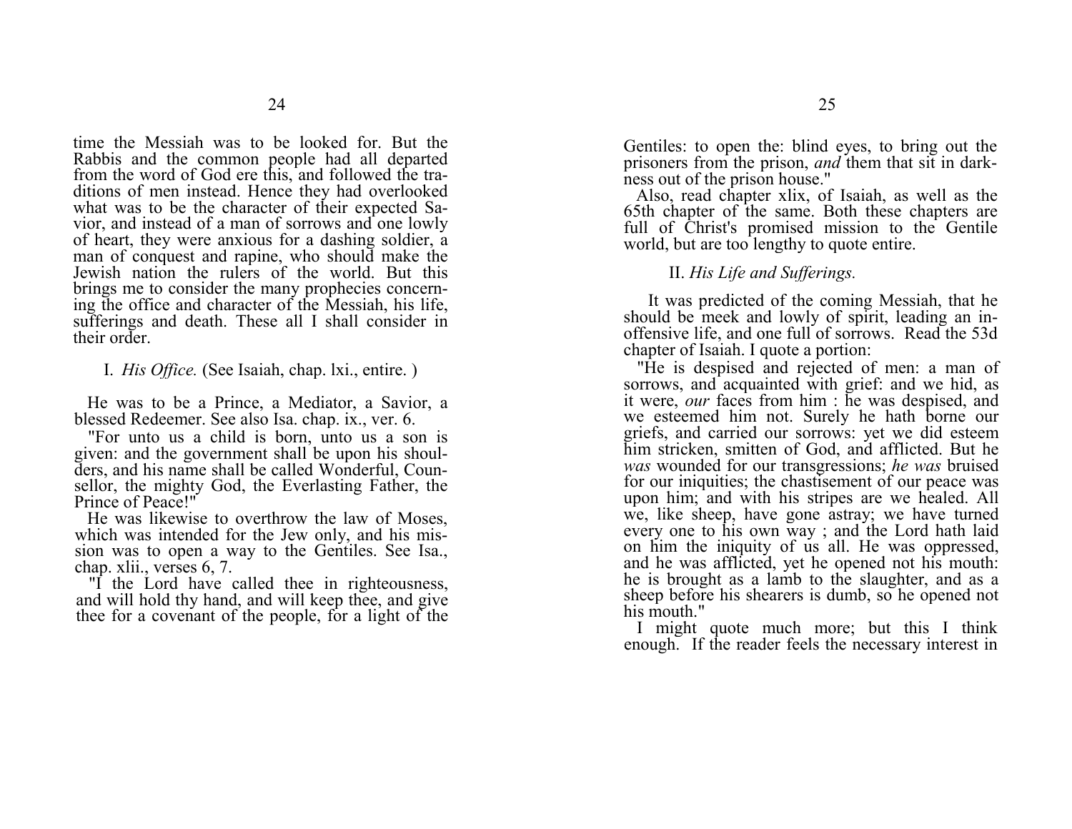time the Messiah was to be looked for. But the Rabbis and the common people had all departed from the word of God ere this, and followed the traditions of men instead. Hence they had overlooked what was to be the character of their expected Savior, and instead of a man of sorrows and one lowly of heart, they were anxious for a dashing soldier, a man of conquest and rapine, who should make the Jewish nation the rulers of the world. But this brings me to consider the many prophecies concerning the office and character of the Messiah, his life, sufferings and death. These all I shall consider in their order.

I. *His Office.* (See Isaiah, chap. lxi., entire. )

He was to be a Prince, a Mediator, a Savior, a blessed Redeemer. See also Isa. chap. ix., ver. 6.

"For unto us a child is born, unto us a son is given: and the government shall be upon his shoulders, and his name shall be called Wonderful, Counsellor, the mighty God, the Everlasting Father, the Prince of Peace!"

He was likewise to overthrow the law of Moses, which was intended for the Jew only, and his mission was to open a way to the Gentiles. See Isa., chap. xlii., verses 6, 7.

"I the Lord have called thee in righteousness, and will hold thy hand, and will keep thee, and give thee for a covenant of the people, for a light of the Gentiles: to open the: blind eyes, to bring out the prisoners from the prison, *and* them that sit in darkness out of the prison house."

Also, read chapter xlix, of Isaiah, as well as the 65th chapter of the same. Both these chapters are full of Christ's promised mission to the Gentile world, but are too lengthy to quote entire.

II. *His Life and Sufferings.* 

It was predicted of the coming Messiah, that he should be meek and lowly of spirit, leading an inoffensive life, and one full of sorrows. Read the 53d chapter of Isaiah. I quote a portion:

"He is despised and rejected of men: a man of sorrows, and acquainted with grief: and we hid, as it were, *our* faces from him : he was despised, and we esteemed him not. Surely he hath borne our griefs, and carried our sorrows: yet we did esteem him stricken, smitten of God, and afflicted. But he *was* wounded for our transgressions; *he was* bruised for our iniquities; the chastisement of our peace was upon him; and with his stripes are we healed. All we, like sheep, have gone astray; we have turned every one to his own way ; and the Lord hath laid on him the iniquity of us all. He was oppressed, and he was afflicted, yet he opened not his mouth: he is brought as a lamb to the slaughter, and as a sheep before his shearers is dumb, so he opened not his mouth."

 I might quote much more; but this I think enough. If the reader feels the necessary interest in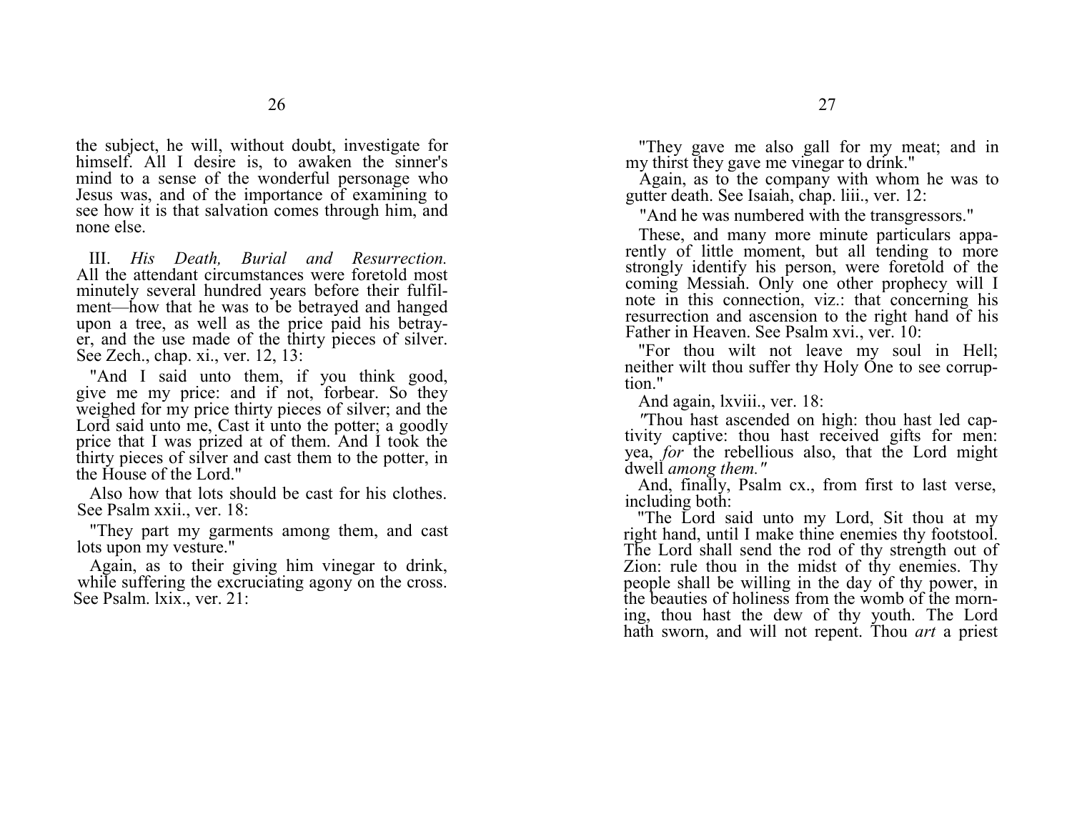the subject, he will, without doubt, investigate for himself. All I desire is, to awaken the sinner's mind to a sense of the wonderful personage who Jesus was, and of the importance of examining to see how it is that salvation comes through him, and none else.

III. *His Death, Burial and Resurrection.*  All the attendant circumstances were foretold most minutely several hundred years before their fulfilment—how that he was to be betrayed and hanged upon a tree, as well as the price paid his betrayer, and the use made of the thirty pieces of silver. See Zech., chap. xi., ver. 12, 13:

"And I said unto them, if you think good, give me my price: and if not, forbear. So they weighed for my price thirty pieces of silver; and the Lord said unto me, Cast it unto the potter; a goodly price that I was prized at of them. And I took the thirty pieces of silver and cast them to the potter, in the House of the Lord."

Also how that lots should be cast for his clothes. See Psalm xxii., ver. 18:

"They part my garments among them, and cast lots upon my vesture."

Again, as to their giving him vinegar to drink, while suffering the excruciating agony on the cross. See Psalm. lxix., ver. 21:

"They gave me also gall for my meat; and in my thirst they gave me vinegar to drink."

Again, as to the company with whom he was to gutter death. See Isaiah, chap. liii., ver. 12:

"And he was numbered with the transgressors."

These, and many more minute particulars apparently of little moment, but all tending to more strongly identify his person, were foretold of the coming Messiah. Only one other prophecy will I note in this connection, viz.: that concerning his resurrection and ascension to the right hand of his Father in Heaven. See Psalm xvi., ver. 10:

"For thou wilt not leave my soul in Hell; neither wilt thou suffer thy Holy One to see corruption."

And again, lxviii., ver. 18:

*"*Thou hast ascended on high: thou hast led captivity captive: thou hast received gifts for men: yea, *for* the rebellious also, that the Lord might dwell *among them."*

And, finally, Psalm cx., from first to last verse, including both:

"The Lord said unto my Lord, Sit thou at my right hand, until I make thine enemies thy footstool. The Lord shall send the rod of thy strength out of Zion: rule thou in the midst of thy enemies. Thy people shall be willing in the day of thy power, in the beauties of holiness from the womb of the morning, thou hast the dew of thy youth. The Lord hath sworn, and will not repent. Thou *art* a priest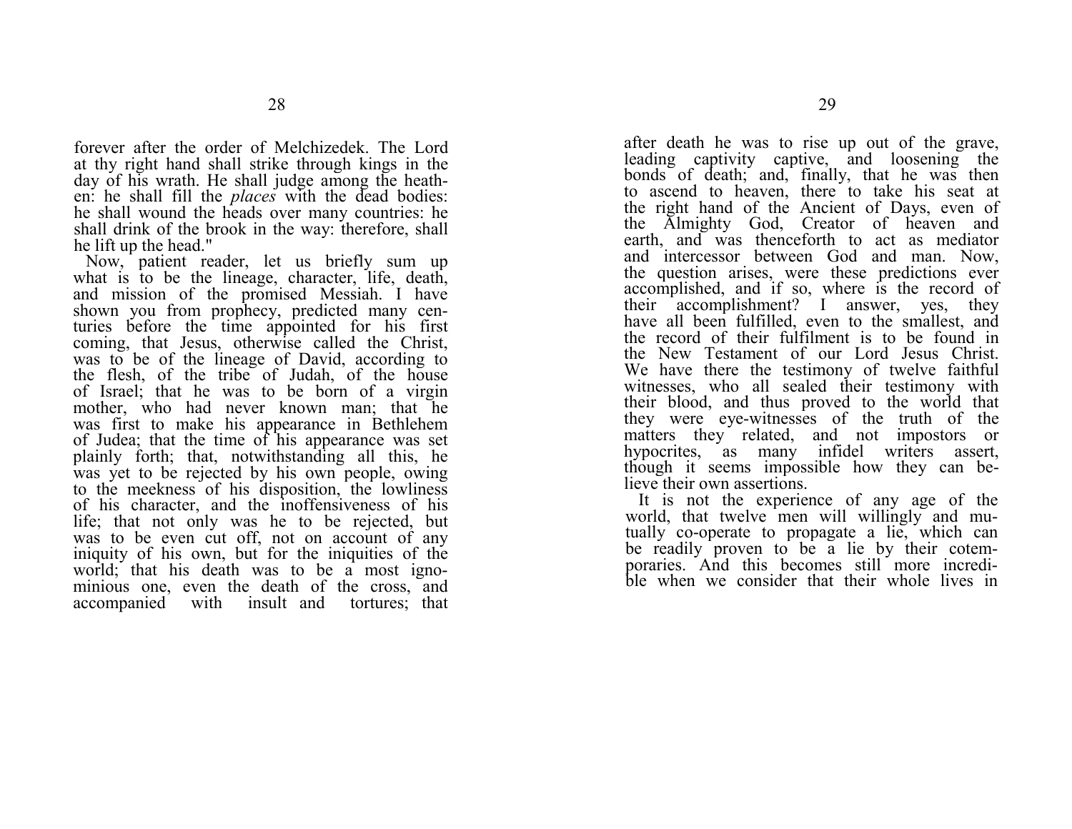forever after the order of Melchizedek. The Lord at thy right hand shall strike through kings in the day of his wrath. He shall judge among the heathen: he shall fill the *places* with the dead bodies: he shall wound the heads over many countries: he shall drink of the brook in the way: therefore, shall he lift up the head."

Now, patient reader, let us briefly sum up what is to be the lineage, character, life, death, and mission of the promised Messiah. I have shown you from prophecy, predicted many centuries before the time appointed for his first coming, that Jesus, otherwise called the Christ, was to be of the lineage of David, according to the flesh, of the tribe of Judah, of the house of Israel; that he was to be born of a virgin mother, who had never known man; that he was first to make his appearance in Bethlehem of Judea; that the time of his appearance was set plainly forth; that, notwithstanding all this, he was yet to be rejected by his own people, owing to the meekness of his disposition, the lowliness of his character, and the inoffensiveness of his life; that not only was he to be rejected, but was to be even cut off, not on account of any iniquity of his own, but for the iniquities of the world; that his death was to be a most ignominious one, even the death of the cross, and accompanied with insult and tortures; that after death he was to rise up out of the grave, leading captivity captive, and loosening the bonds of death; and, finally, that he was then to ascend to heaven, there to take his seat at the right hand of the Ancient of Days, even of the Almighty God, Creator of heaven and earth, and was thenceforth to act as mediator and intercessor between God and man. Now, the question arises, were these predictions ever accomplished, and if so, where is the record of their accomplishment? I answer, yes, they have all been fulfilled, even to the smallest, and the record of their fulfilment is to be found in the New Testament of our Lord Jesus Christ. We have there the testimony of twelve faithful witnesses, who all sealed their testimony with their blood, and thus proved to the world that they were eye-witnesses of the truth of the matters they related, and not impostors or hypocrites, as many infidel writers assert, though it seems impossible how they can believe their own assertions.

It is not the experience of any age of the world, that twelve men will willingly and mutually co-operate to propagate a lie, which can be readily proven to be a lie by their cotemporaries. And this becomes still more incredible when we consider that their whole lives in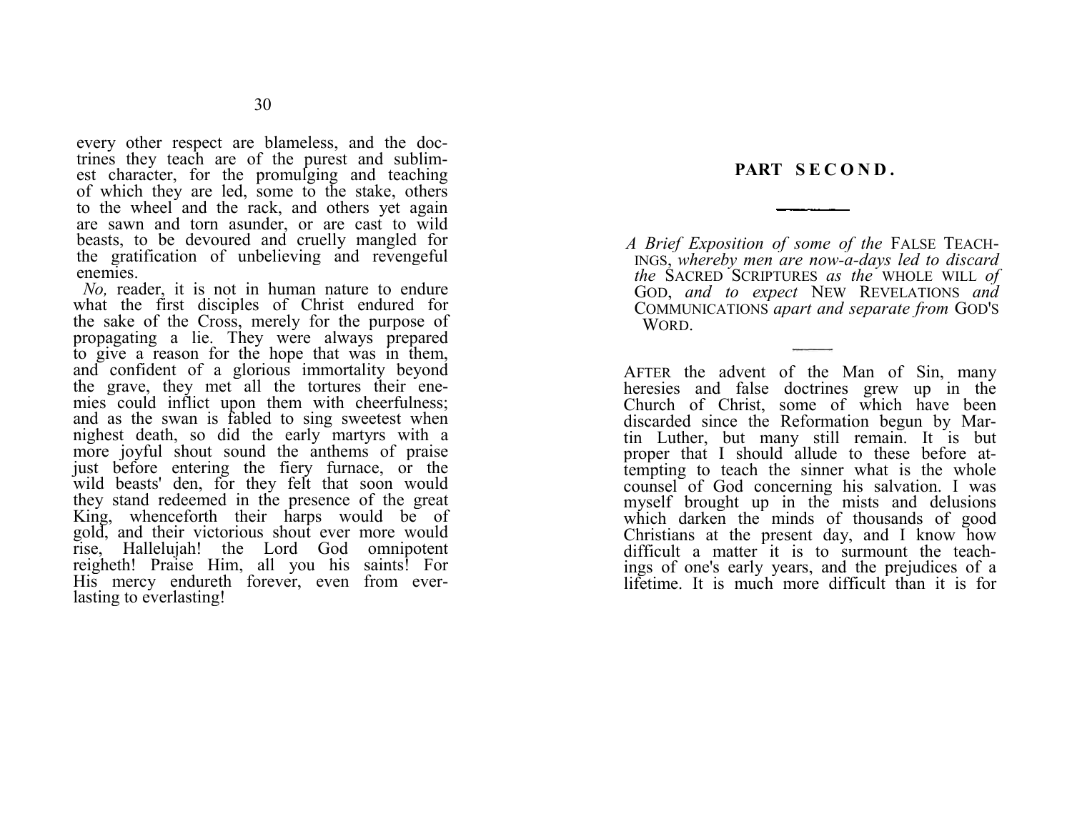# **PART S E C O N D .**

*A Brief Exposition of some of the*  FALSE TEACH-INGS, *whereby men are now-a-days led to discard the*  SACRED SCRIPTURES *as the* WHOLE WILL *of*  GOD, *and to expect*  NEW REVELATIONS *and*  COMMUNICATIONS *apart and separate from*  GOD'SWORD.

AFTER the advent of the Man of Sin, many heresies and false doctrines grew up in the Church of Christ, some of which have been discarded since the Reformation begun by Martin Luther, but many still remain. It is but proper that I should allude to these before attempting to teach the sinner what is the whole counsel of God concerning his salvation. I was myself brought up in the mists and delusions which darken the minds of thousands of good Christians at the present day, and I know how difficult a matter it is to surmount the teachings of one's early years, and the prejudices of a lifetime. It is much more difficult than it is for

every other respect are blameless, and the doctrines they teach are of the purest and sublimest character, for the promulging and teaching of which they are led, some to the stake, others to the wheel and the rack, and others yet again are sawn and torn asunder, or are cast to wild beasts, to be devoured and cruelly mangled for the gratification of unbelieving and revengeful enemies.

*No*, reader, it is not in human nature to endure what the first disciples of Christ endured for the sake of the Cross, merely for the purpose of propagating a lie. They were always prepared to give a reason for the hope that was in them, and confident of a glorious immortality beyond the grave, they met all the tortures their enemies could inflict upon them with cheerfulness; and as the swan is fabled to sing sweetest when nighest death, so did the early martyrs with a more joyful shout sound the anthems of praise just before entering the fiery furnace, or the wild beasts' den, for they felt that soon would they stand redeemed in the presence of the great King, whenceforth their harps would be of gold, and their victorious shout ever more would rise, Hallelujah! the Lord God omnipotent reigheth! Praise Him, all you his saints! For His mercy endureth forever, even from everlasting to everlasting!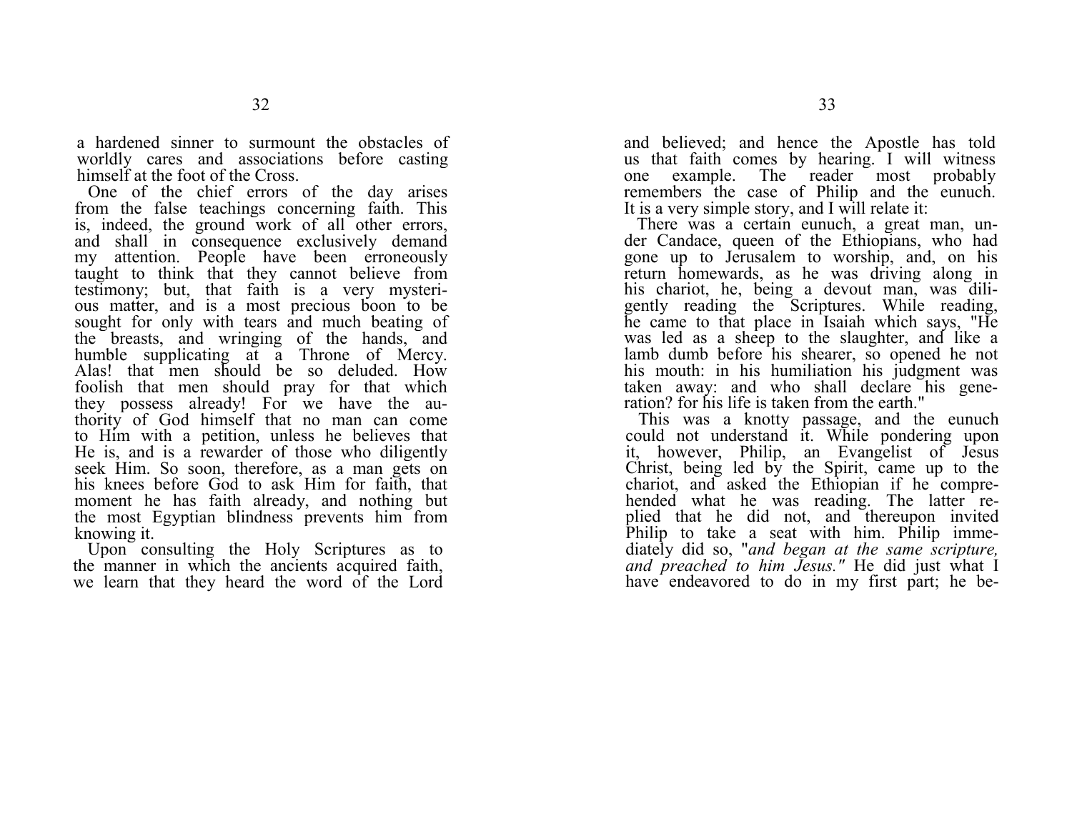a hardened sinner to surmount the obstacles of worldly cares and associations before casting himself at the foot of the Cross.

One of the chief errors of the day arises from the false teachings concerning faith. This is, indeed, the ground work of all other errors, and shall in consequence exclusively demand my attention. People have been erroneously taught to think that they cannot believe from testimony; but, that faith is a very mysterious matter, and is a most precious boon to be sought for only with tears and much beating of the breasts, and wringing of the hands, and humble supplicating at a Throne of Mercy. Alas! that men should be so deluded. How foolish that men should pray for that which they possess already! For we have the authority of God himself that no man can come to Him with a petition, unless he believes that He is, and is a rewarder of those who diligently seek Him. So soon, therefore, as a man gets on his knees before God to ask Him for faith, that moment he has faith already, and nothing but the most Egyptian blindness prevents him from knowing it.

Upon consulting the Holy Scriptures as to the manner in which the ancients acquired faith, we learn that they heard the word of the Lord

and believed; and hence the Apostle has told us that faith comes by hearing. I will witness one example. The reader most probably remembers the case of Philip and the eunuch. It is a very simple story, and I will relate it:

There was a certain eunuch, a great man, under Candace, queen of the Ethiopians, who had gone up to Jerusalem to worship, and, on his return homewards, as he was driving along in his chariot, he, being a devout man, was diligently reading the Scriptures. While reading, he came to that place in Isaiah which says, "He was led as a sheep to the slaughter, and like a lamb dumb before his shearer, so opened he not his mouth: in his humiliation his judgment was taken away: and who shall declare his generation? for his life is taken from the earth."

This was a knotty passage, and the eunuch could not understand it. While pondering upon it, however, Philip, an Evangelist of Jesus Christ, being led by the Spirit, came up to the chariot, and asked the Ethiopian if he comprehended what he was reading. The latter replied that he did not, and thereupon invited Philip to take a seat with him. Philip immediately did so, "*and began at the same scripture, and preached to him Jesus."* He did just what I have endeavored to do in my first part; he be-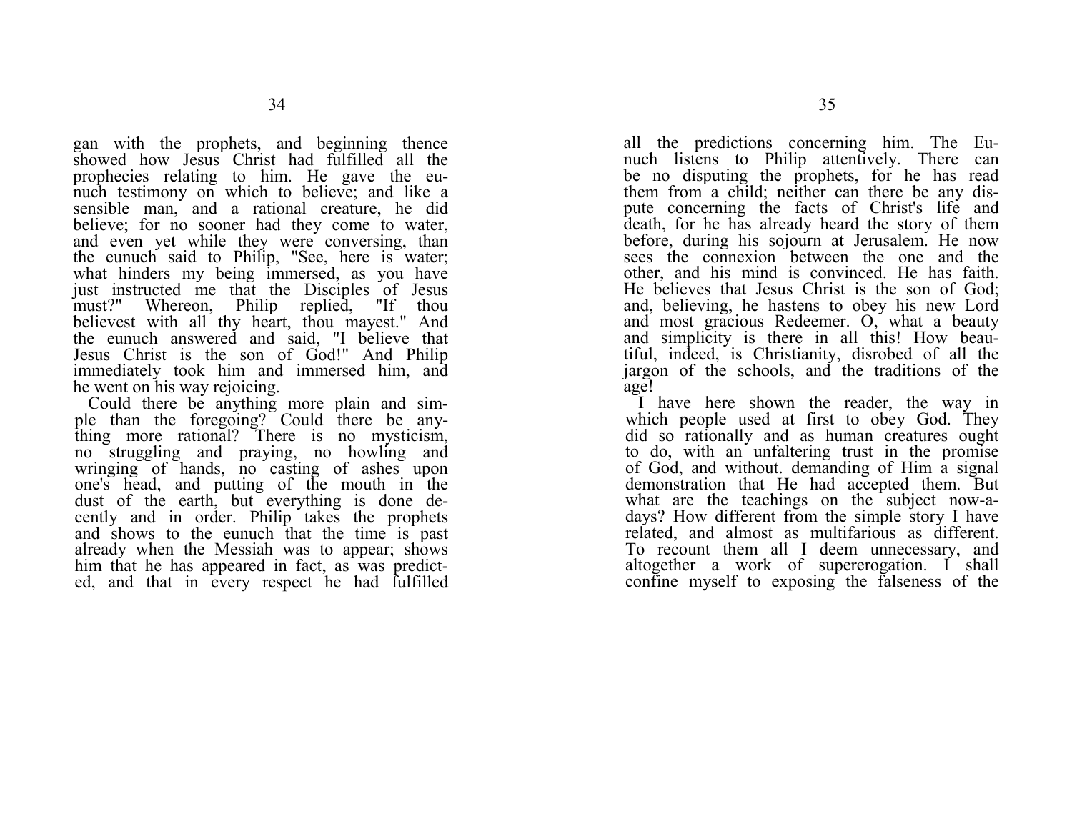gan with the prophets, and beginning thence showed how Jesus Christ had fulfilled all the prophecies relating to him. He gave the eunuch testimony on which to believe; and like a sensible man, and a rational creature, he did believe; for no sooner had they come to water, and even yet while they were conversing, than the eunuch said to Philip, "See, here is water; what hinders my being immersed, as you have just instructed me that the Disciples of Jesus must?" Whereon, Philip replied, "If thou believest with all thy heart, thou mayest." And the eunuch answered and said, "I believe that Jesus Christ is the son of God!" And Philip immediately took him and immersed him, and he went on his way rejoicing.

Could there be anything more plain and simple than the foregoing? Could there be anything more rational? There is no mysticism, no struggling and praying, no howling and wringing of hands, no casting of ashes upon one's head, and putting of the mouth in the dust of the earth, but everything is done decently and in order. Philip takes the prophets and shows to the eunuch that the time is past already when the Messiah was to appear; shows him that he has appeared in fact, as was predicted, and that in every respect he had fulfilled

all the predictions concerning him. The Eunuch listens to Philip attentively. There can be no disputing the prophets, for he has read them from a child; neither can there be any dispute concerning the facts of Christ's life and death, for he has already heard the story of them before, during his sojourn at Jerusalem. He now sees the connexion between the one and the other, and his mind is convinced. He has faith. He believes that Jesus Christ is the son of God; and, believing, he hastens to obey his new Lord and most gracious Redeemer. O, what a beauty and simplicity is there in all this! How beautiful, indeed, is Christianity, disrobed of all the jargon of the schools, and the traditions of the age!

I have here shown the reader, the way in which people used at first to obey God. They did so rationally and as human creatures ought to do, with an unfaltering trust in the promise of God, and without. demanding of Him a signal demonstration that He had accepted them. But what are the teachings on the subject now-adays? How different from the simple story I have related, and almost as multifarious as different. To recount them all I deem unnecessary, and altogether a work of supererogation. I shall confine myself to exposing the falseness of the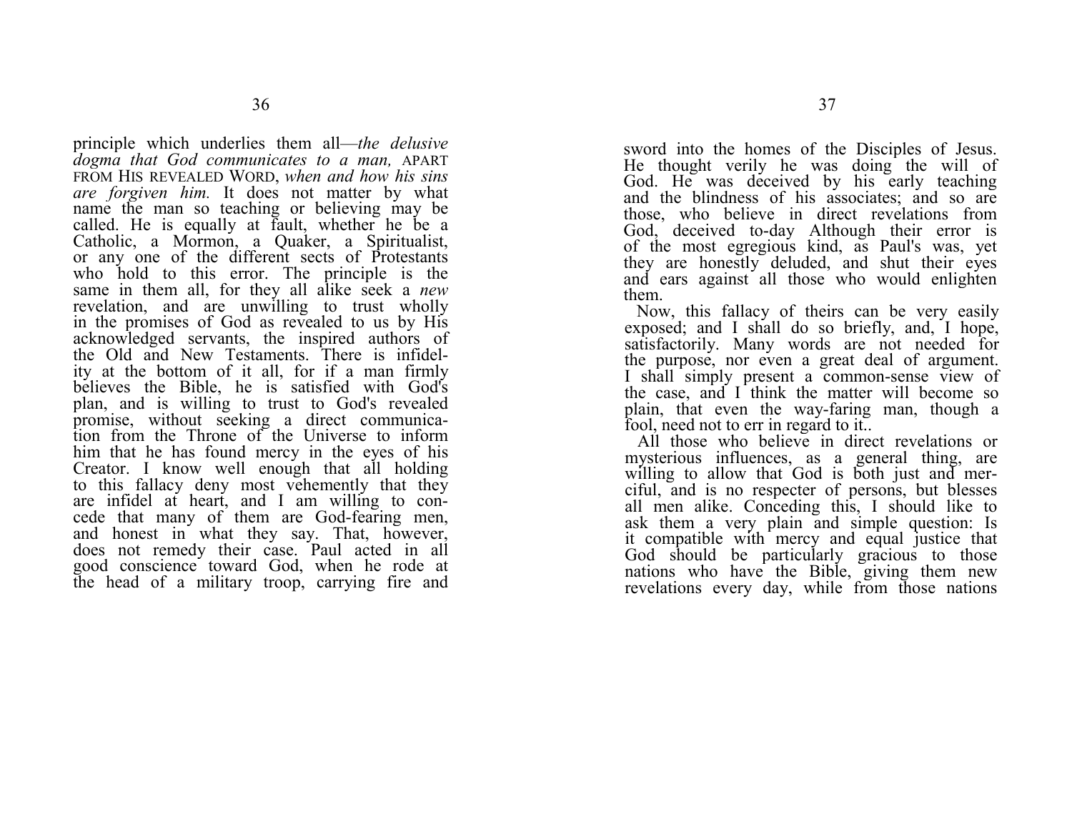principle which underlies them all—*the delusive dogma that God communicates to a man,* APART FROM HIS REVEALED WORD, *when and how his sins are forgiven him.* It does not matter by what name the man so teaching or believing may be called. He is equally at fault, whether he be a Catholic, a Mormon, a Quaker, a Spiritualist, or any one of the different sects of Protestants who hold to this error. The principle is the same in them all, for they all alike seek a *new*  revelation, and are unwilling to trust wholly in the promises of God as revealed to us by His acknowledged servants, the inspired authors of the Old and New Testaments. There is infidelity at the bottom of it all, for if a man firmly believes the Bible, he is satisfied with God's plan, and is willing to trust to God's revealed promise, without seeking a direct communication from the Throne of the Universe to inform him that he has found mercy in the eyes of his Creator. I know well enough that all holding to this fallacy deny most vehemently that they are infidel at heart, and I am willing to concede that many of them are God-fearing men, and honest in what they say. That, however, does not remedy their case. Paul acted in all good conscience toward God, when he rode at the head of a military troop, carrying fire and

sword into the homes of the Disciples of Jesus. He thought verily he was doing the will of God. He was deceived by his early teaching and the blindness of his associates; and so are those, who believe in direct revelations from God, deceived to-day Although their error is of the most egregious kind, as Paul's was, yet they are honestly deluded, and shut their eyes and ears against all those who would enlighten them.

Now, this fallacy of theirs can be very easily exposed; and I shall do so briefly, and, I hope, satisfactorily. Many words are not needed for the purpose, nor even a great deal of argument. I shall simply present a common-sense view of the case, and I think the matter will become so plain, that even the way-faring man, though a fool, need not to err in regard to it..

All those who believe in direct revelations or mysterious influences, as a general thing, are willing to allow that God is both just and merciful, and is no respecter of persons, but blesses all men alike. Conceding this, I should like to ask them a very plain and simple question: Is it compatible with mercy and equal justice that God should be particularly gracious to those nations who have the Bible, giving them new revelations every day, while from those nations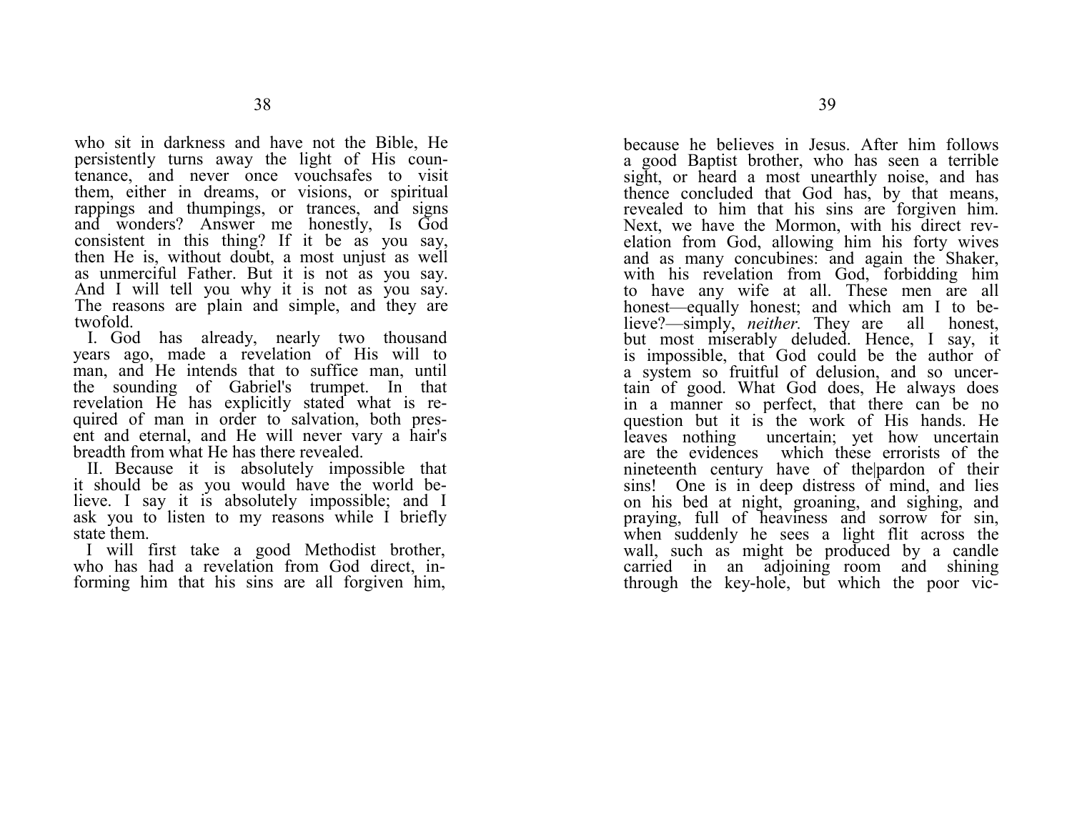who sit in darkness and have not the Bible, He persistently turns away the light of His countenance, and never once vouchsafes to visit them, either in dreams, or visions, or spiritual rappings and thumpings, or trances, and signs and wonders? Answer me honestly, Is God consistent in this thing? If it be as you say, then He is, without doubt, a most unjust as well as unmerciful Father. But it is not as you say. And I will tell you why it is not as you say. The reasons are plain and simple, and they are twofold.

I. God has already, nearly two thousand years ago, made a revelation of His will to man, and He intends that to suffice man, until the sounding of Gabriel's trumpet. In that revelation He has explicitly stated what is required of man in order to salvation, both present and eternal, and He will never vary a hair's breadth from what He has there revealed.

II. Because it is absolutely impossible that it should be as you would have the world believe. I say it is absolutely impossible; and I ask you to listen to my reasons while I briefly state them.

 I will first take a good Methodist brother, who has had a revelation from God direct, informing him that his sins are all forgiven him,

because he believes in Jesus. After him follows a good Baptist brother, who has seen a terrible sight, or heard a most unearthly noise, and has thence concluded that God has, by that means, revealed to him that his sins are forgiven him. Next, we have the Mormon, with his direct revelation from God, allowing him his forty wives and as many concubines: and again the Shaker, with his revelation from God, forbidding him to have any wife at all. These men are all honest—equally honest; and which am I to be-<br>lieve?—simply, *neither*. They are all honest. lieve?—simply, *neither*. They are but most miserably deluded. Hence, I say, it is impossible, that God could be the author of a system so fruitful of delusion, and so uncertain of good. What God does, He always does in a manner so perfect, that there can be no question but it is the work of His hands. He leaves nothing uncertain; yet how uncertain are the evidences which these errorists of the nineteenth century have of the|pardon of their sins! One is in deep distress of mind, and lies on his bed at night, groaning, and sighing, and praying, full of heaviness and sorrow for sin, when suddenly he sees a light flit across the wall, such as might be produced by a candle carried in an adjoining room and shining through the key-hole, but which the poor vic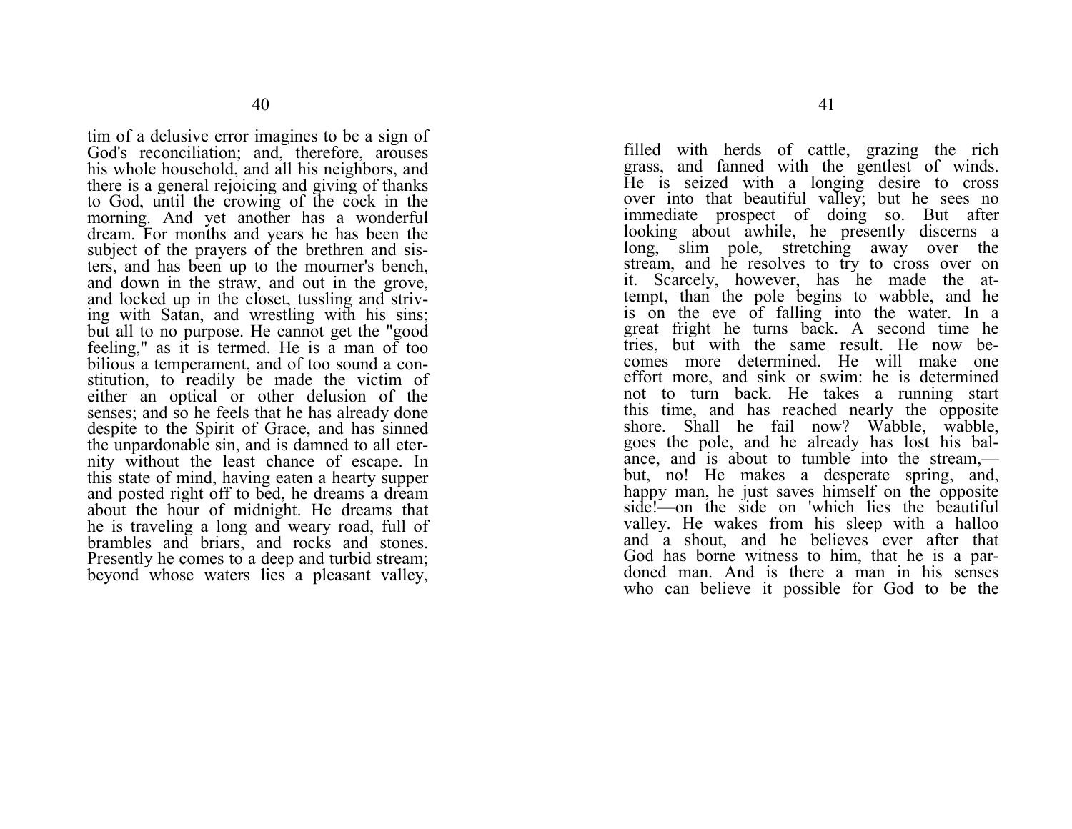tim of a delusive error imagines to be a sign of God's reconciliation; and, therefore, arouses his whole household, and all his neighbors, and there is a general rejoicing and giving of thanks to God, until the crowing of the cock in the morning. And yet another has a wonderful dream. For months and years he has been the subject of the prayers of the brethren and sisters, and has been up to the mourner's bench, and down in the straw, and out in the grove, and locked up in the closet, tussling and striving with Satan, and wrestling with his sins; but all to no purpose. He cannot get the "good feeling," as it is termed. He is a man of too bilious a temperament, and of too sound a constitution, to readily be made the victim of either an optical or other delusion of the senses; and so he feels that he has already done despite to the Spirit of Grace, and has sinned the unpardonable sin, and is damned to all eternity without the least chance of escape. In this state of mind, having eaten a hearty supper and posted right off to bed, he dreams a dream about the hour of midnight. He dreams that he is traveling a long and weary road, full of brambles and briars, and rocks and stones. Presently he comes to a deep and turbid stream; beyond whose waters lies a pleasant valley,

filled with herds of cattle, grazing the rich grass, and fanned with the gentlest of winds. He is seized with a longing desire to cross over into that beautiful valley; but he sees no immediate prospect of doing so. But after looking about awhile, he presently discerns a long, slim pole, stretching away over the stream, and he resolves to try to cross over on it. Scarcely, however, has he made the attempt, than the pole begins to wabble, and he is on the eve of falling into the water. In a great fright he turns back. A second time he tries, but with the same result. He now becomes more determined. He will make one effort more, and sink or swim: he is determined not to turn back. He takes a running start this time, and has reached nearly the opposite shore. Shall he fail now? Wabble, wabble, goes the pole, and he already has lost his balance, and is about to tumble into the stream, but, no! He makes a desperate spring, and, happy man, he just saves himself on the opposite side!—on the side on 'which lies the beautiful valley. He wakes from his sleep with a halloo and a shout, and he believes ever after that God has borne witness to him, that he is a pardoned man. And is there a man in his senses who can believe it possible for God to be the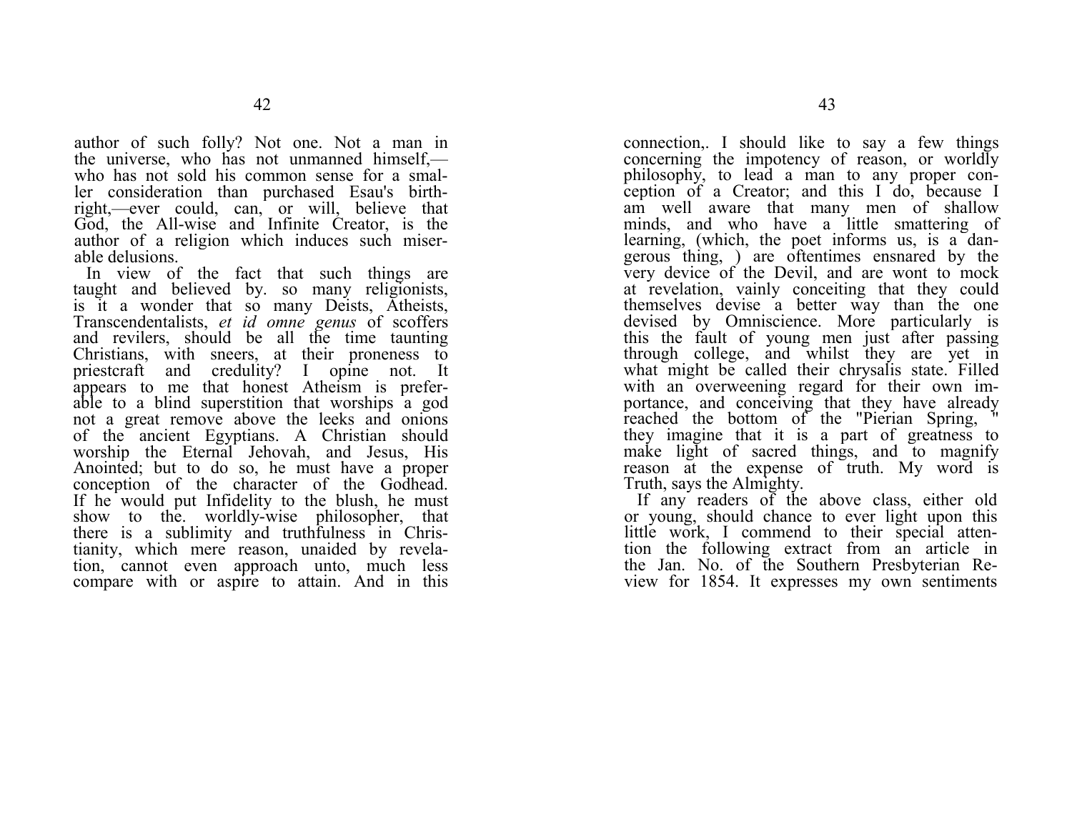author of such folly? Not one. Not a man in the universe, who has not unmanned himself, who has not sold his common sense for a smaller consideration than purchased Esau's birthright,—ever could, can, or will, believe that God, the All-wise and Infinite Creator, is the author of a religion which induces such miserable delusions.

In view of the fact that such things are taught and believed by. so many religionists, is it a wonder that so many Deists, Atheists, Transcendentalists, *et id omne genus* of scoffers and revilers, should be all the time taunting Christians, with sneers, at their proneness to priestcraft and credulity? I opine not. It appears to me that honest Atheism is preferable to a blind superstition that worships a god not a great remove above the leeks and onions of the ancient Egyptians. A Christian should worship the Eternal Jehovah, and Jesus, His Anointed; but to do so, he must have a proper conception of the character of the Godhead. If he would put Infidelity to the blush, he must show to the. worldly-wise philosopher, that there is a sublimity and truthfulness in Christianity, which mere reason, unaided by revelation, cannot even approach unto, much less compare with or aspire to attain. And in this

connection,. I should like to say a few things concerning the impotency of reason, or worldly philosophy, to lead a man to any proper conception of a Creator; and this I do, because I am well aware that many men of shallow minds, and who have a little smattering of learning, (which, the poet informs us, is a dangerous thing, ) are oftentimes ensnared by the very device of the Devil, and are wont to mock at revelation, vainly conceiting that they could themselves devise a better way than the one devised by Omniscience. More particularly is this the fault of young men just after passing through college, and whilst they are yet in what might be called their chrysalis state. Filled with an overweening regard for their own importance, and conceiving that they have already reached the bottom of the "Pierian Spring, " they imagine that it is a part of greatness to make light of sacred things, and to magnify reason at the expense of truth. My word is Truth, says the Almighty.

If any readers of the above class, either old or young, should chance to ever light upon this little work, I commend to their special attention the following extract from an article in the Jan. No. of the Southern Presbyterian Review for 1854. It expresses my own sentiments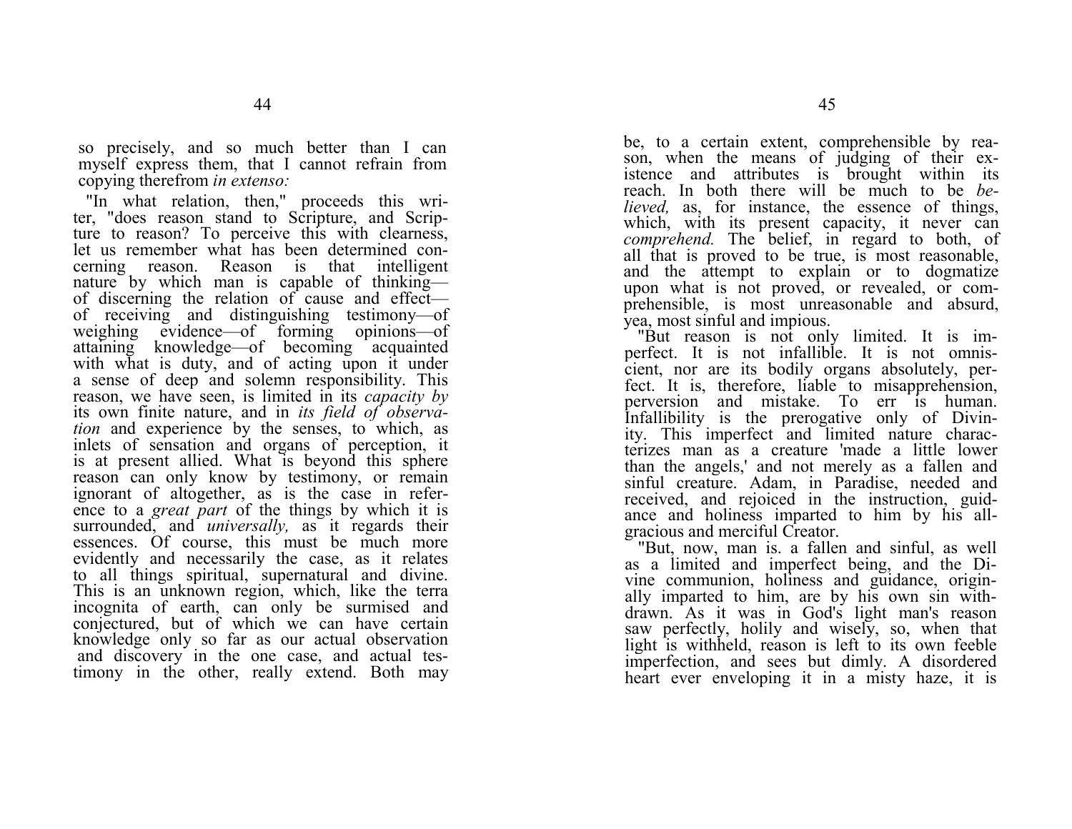so precisely, and so much better than I can myself express them, that I cannot refrain from copying therefrom *in extenso:*

"In what relation, then," proceeds this writer, "does reason stand to Scripture, and Scripture to reason? To perceive this with clearness, let us remember what has been determined concerning reason. Reason is that intelligent nature by which man is capable of thinking of discerning the relation of cause and effect of receiving and distinguishing testimony—of weighing evidence—of forming opinions—of attaining knowledge—of becoming acquainted with what is duty, and of acting upon it under a sense of deep and solemn responsibility. This reason, we have seen, is limited in its *capacity by*  its own finite nature, and in *its field of observation* and experience by the senses, to which, as inlets of sensation and organs of perception, it is at present allied. What is beyond this sphere reason can only know by testimony, or remain ignorant of altogether, as is the case in reference to a *great part* of the things by which it is surrounded, and *universally,* as it regards their essences. Of course, this must be much more evidently and necessarily the case, as it relates to all things spiritual, supernatural and divine. This is an unknown region, which, like the terra incognita of earth, can only be surmised and conjectured, but of which we can have certain knowledge only so far as our actual observation and discovery in the one case, and actual testimony in the other, really extend. Both may be, to a certain extent, comprehensible by reason, when the means of judging of their existence and attributes is brought within its reach. In both there will be much to be *believed*, as, for instance, the essence of things, which, with its present capacity, it never can *comprehend.* The belief, in regard to both, of all that is proved to be true, is most reasonable, and the attempt to explain or to dogmatize upon what is not proved, or revealed, or comprehensible, is most unreasonable and absurd, yea, most sinful and impious.

"But reason is not only limited. It is imperfect. It is not infallible. It is not omniscient, nor are its bodily organs absolutely, perfect. It is, therefore, liable to misapprehension, perversion and mistake. To err is human. Infallibility is the prerogative only of Divinity. This imperfect and limited nature characterizes man as a creature 'made a little lower than the angels,' and not merely as a fallen and sinful creature. Adam, in Paradise, needed and received, and rejoiced in the instruction, guidance and holiness imparted to him by his allgracious and merciful Creator.

"But, now, man is. a fallen and sinful, as well as a limited and imperfect being, and the Divine communion, holiness and guidance, originally imparted to him, are by his own sin withdrawn. As it was in God's light man's reason saw perfectly, holily and wisely, so, when that light is withheld, reason is left to its own feeble imperfection, and sees but dimly. A disordered heart ever enveloping it in a misty haze, it is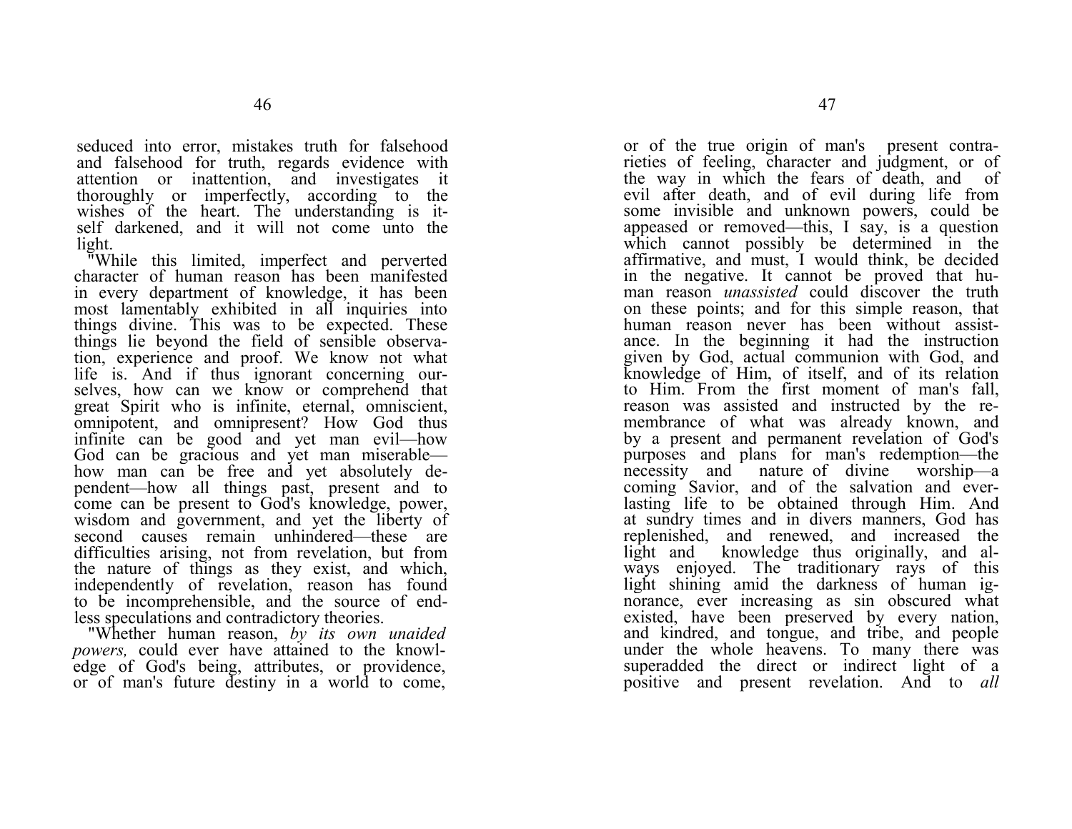seduced into error, mistakes truth for falsehood and falsehood for truth, regards evidence with attention or inattention, and investigates it thoroughly or imperfectly, according to the wishes of the heart. The understanding is itself darkened, and it will not come unto the light.

"While this limited, imperfect and perverted character of human reason has been manifested in every department of knowledge, it has been most lamentably exhibited in all inquiries into things divine. This was to be expected. These things lie beyond the field of sensible observation, experience and proof. We know not what life is. And if thus ignorant concerning ourselves, how can we know or comprehend that great Spirit who is infinite, eternal, omniscient, omnipotent, and omnipresent? How God thus infinite can be good and yet man evil—how God can be gracious and yet man miserable how man can be free and yet absolutely dependent—how all things past, present and to come can be present to God's knowledge, power, wisdom and government, and yet the liberty of second causes remain unhindered—these are difficulties arising, not from revelation, but from the nature of things as they exist, and which, independently of revelation, reason has found to be incomprehensible, and the source of endless speculations and contradictory theories.

"Whether human reason, *by its own unaided powers,* could ever have attained to the knowledge of God's being, attributes, or providence, or of man's future destiny in a world to come,

or of the true origin of man's present contrarieties of feeling, character and judgment, or of the way in which the fears of death, and of evil after death, and of evil during life from some invisible and unknown powers, could be appeased or removed—this. I say, is a question which cannot possibly be determined in the affirmative, and must, I would think, be decided in the negative. It cannot be proved that human reason *unassisted* could discover the truth on these points; and for this simple reason, that human reason never has been without assistance. In the beginning it had the instruction given by God, actual communion with God, and knowledge of Him, of itself, and of its relation to Him. From the first moment of man's fall, reason was assisted and instructed by the remembrance of what was already known, and by a present and permanent revelation of God's purposes and plans for man's redemption—the necessity and nature of divine worship—a coming Savior, and of the salvation and everlasting life to be obtained through Him. And at sundry times and in divers manners, God has replenished, and renewed, and increased the light and knowledge thus originally, and always enjoyed. The traditionary rays of this light shining amid the darkness of human ignorance, ever increasing as sin obscured what existed, have been preserved by every nation, and kindred, and tongue, and tribe, and people under the whole heavens. To many there was superadded the direct or indirect light of a positive and present revelation. And to *all*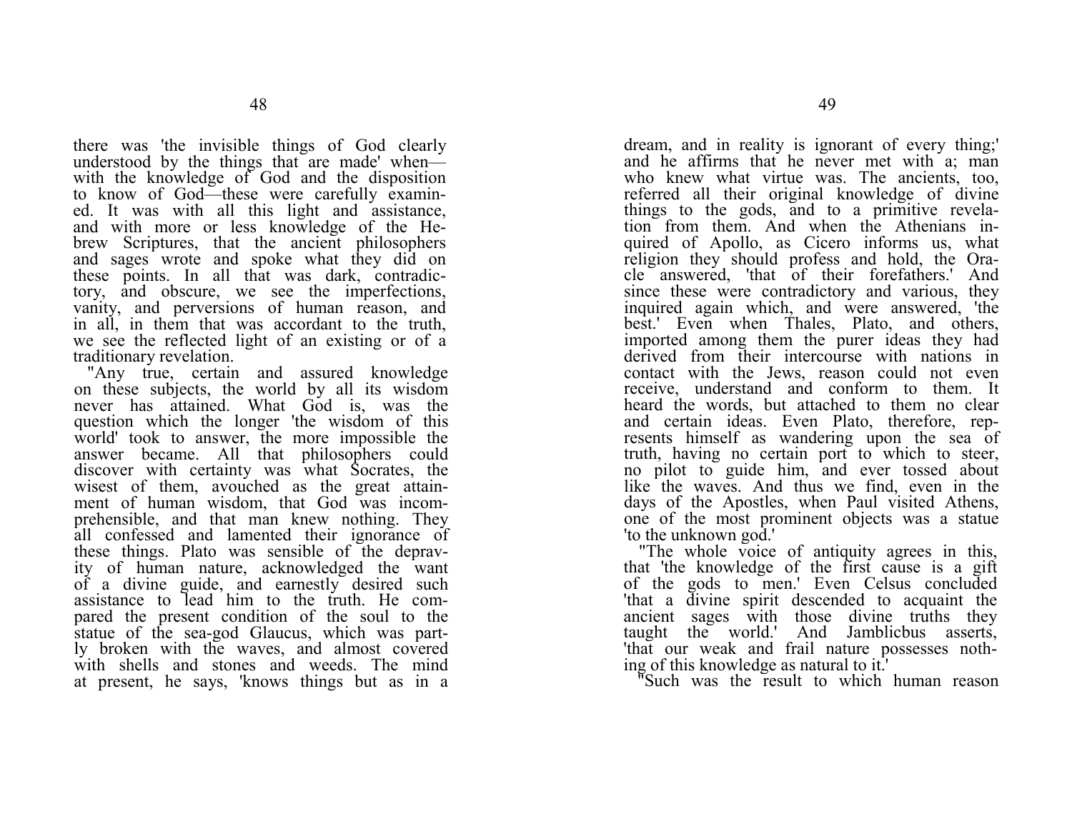there was 'the invisible things of God clearly understood by the things that are made' when with the knowledge of God and the disposition to know of God—these were carefully examined. It was with all this light and assistance, and with more or less knowledge of the Hebrew Scriptures, that the ancient philosophers and sages wrote and spoke what they did on these points. In all that was dark, contradictory, and obscure, we see the imperfections, vanity, and perversions of human reason, and in all, in them that was accordant to the truth, we see the reflected light of an existing or of a traditionary revelation.

"Any true, certain and assured knowledge on these subjects, the world by all its wisdom never has attained. What God is, was the question which the longer 'the wisdom of this world' took to answer, the more impossible the answer became. All that philosophers could discover with certainty was what Socrates, the wisest of them, avouched as the great attainment of human wisdom, that God was incomprehensible, and that man knew nothing. They all confessed and lamented their ignorance of these things. Plato was sensible of the depravity of human nature, acknowledged the want of a divine guide, and earnestly desired such assistance to lead him to the truth. He compared the present condition of the soul to the statue of the sea-god Glaucus, which was partly broken with the waves, and almost covered with shells and stones and weeds. The mind at present, he says, 'knows things but as in a

dream, and in reality is ignorant of every thing;' and he affirms that he never met with a; man who knew what virtue was. The ancients, too, referred all their original knowledge of divine things to the gods, and to a primitive revelation from them. And when the Athenians inquired of Apollo, as Cicero informs us, what religion they should profess and hold, the Oracle answered, 'that of their forefathers.' And since these were contradictory and various, they inquired again which, and were answered, 'the best.' Even when Thales, Plato, and others, imported among them the purer ideas they had derived from their intercourse with nations in contact with the Jews, reason could not even receive, understand and conform to them. It heard the words, but attached to them no clear and certain ideas. Even Plato, therefore, represents himself as wandering upon the sea of truth, having no certain port to which to steer, no pilot to guide him, and ever tossed about like the waves. And thus we find, even in the days of the Apostles, when Paul visited Athens, one of the most prominent objects was a statue 'to the unknown god.'

 "The whole voice of antiquity agrees in this, that 'the knowledge of the first cause is a gift of the gods to men.' Even Celsus concluded 'that a divine spirit descended to acquaint the ancient sages with those divine truths they taught the world.' And Jamblicbus asserts, 'that our weak and frail nature possesses nothing of this knowledge as natural to it.'

"Such was the result to which human reason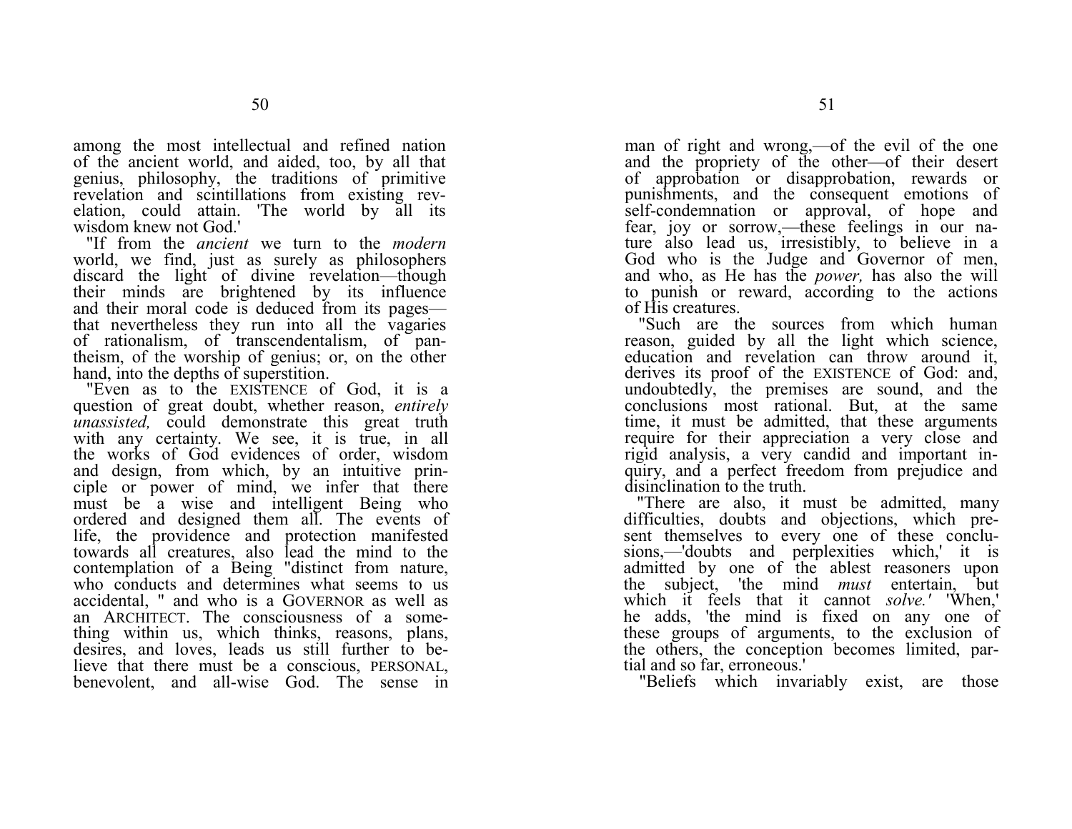among the most intellectual and refined nation of the ancient world, and aided, too, by all that genius, philosophy, the traditions of primitive revelation and scintillations from existing revelation, could attain. 'The world by all its wisdom knew not God.'

 "If from the *ancient* we turn to the *modern*  world, we find, just as surely as philosophers discard the light of divine revelation—though their minds are brightened by its influence and their moral code is deduced from its pages that nevertheless they run into all the vagaries of rationalism, of transcendentalism, of pantheism, of the worship of genius; or, on the other hand, into the depths of superstition.

"Even as to the EXISTENCE of God, it is a question of great doubt, whether reason, *entirely unassisted*, could demonstrate this great truth with any certainty. We see, it is true, in all the works of God evidences of order, wisdom and design, from which, by an intuitive principle or power of mind, we infer that there must be a wise and intelligent Being who ordered and designed them all. The events of life, the providence and protection manifested towards all creatures, also lead the mind to the contemplation of a Being "distinct from nature, who conducts and determines what seems to us accidental, " and who is a GOVERNOR as well as an ARCHITECT. The consciousness of a something within us, which thinks, reasons, plans, desires, and loves, leads us still further to believe that there must be a conscious, PERSONAL, benevolent, and all-wise God. The sense in

man of right and wrong,—of the evil of the one and the propriety of the other—of their desert of approbation or disapprobation, rewards or punishments, and the consequent emotions of self-condemnation or approval, of hope and fear, joy or sorrow,—these feelings in our nature also lead us, irresistibly, to believe in a God who is the Judge and Governor of men, and who, as He has the *power,* has also the will to punish or reward, according to the actions of His creatures.

"Such are the sources from which human reason, guided by all the light which science, education and revelation can throw around it, derives its proof of the EXISTENCE of God: and, undoubtedly, the premises are sound, and the conclusions most rational. But, at the same time, it must be admitted, that these arguments require for their appreciation a very close and rigid analysis, a very candid and important inquiry, and a perfect freedom from prejudice and disinclination to the truth.

"There are also, it must be admitted, many difficulties, doubts and objections, which present themselves to every one of these conclusions,—'doubts and perplexities which,' it is admitted by one of the ablest reasoners upon the subject, 'the mind *must* entertain, but which it feels that it cannot *solve.'* 'When,' he adds, 'the mind is fixed on any one of these groups of arguments, to the exclusion of the others, the conception becomes limited, partial and so far, erroneous.'

"Beliefs which invariably exist, are those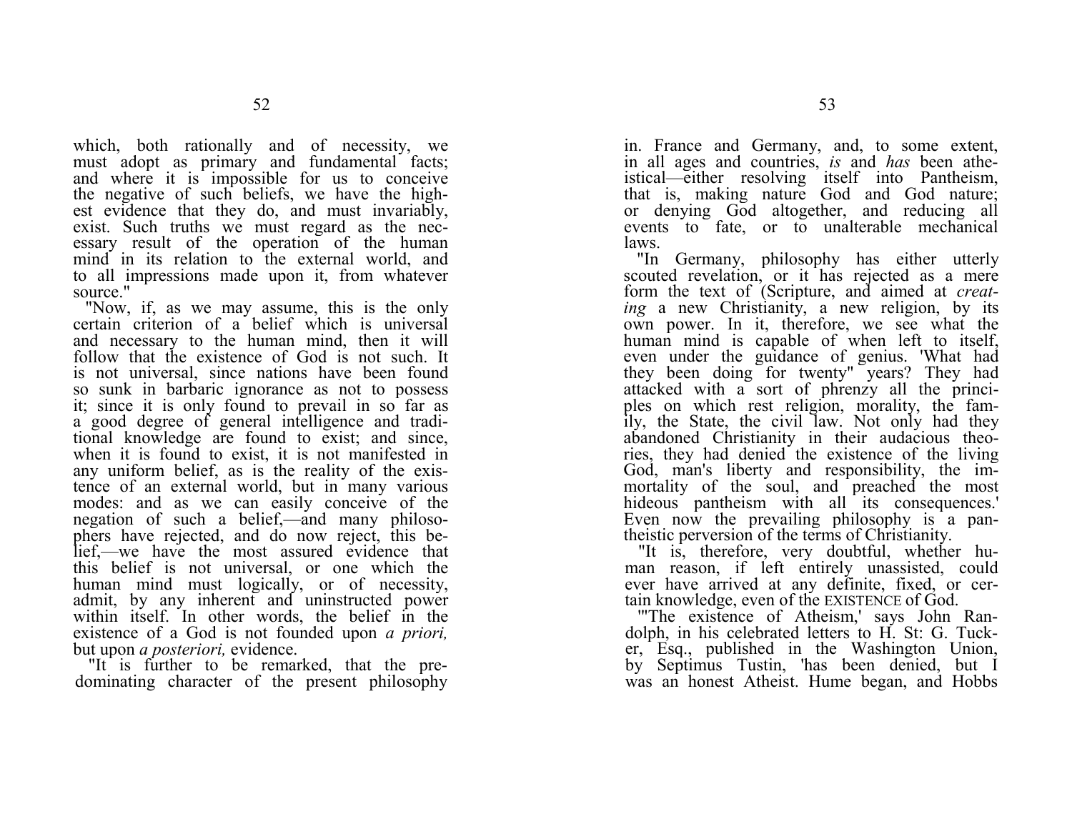which, both rationally and of necessity, we must adopt as primary and fundamental facts; and where it is impossible for us to conceive the negative of such beliefs, we have the highest evidence that they do, and must invariably, exist. Such truths we must regard as the necessary result of the operation of the human mind in its relation to the external world, and to all impressions made upon it, from whatever source."

"Now, if, as we may assume, this is the only certain criterion of a belief which is universal and necessary to the human mind, then it will follow that the existence of God is not such. It is not universal, since nations have been found so sunk in barbaric ignorance as not to possess it; since it is only found to prevail in so far as a good degree of general intelligence and traditional knowledge are found to exist; and since, when it is found to exist, it is not manifested in any uniform belief, as is the reality of the existence of an external world, but in many various modes: and as we can easily conceive of the negation of such a belief,—and many philosophers have rejected, and do now reject, this belief,—we have the most assured evidence that this belief is not universal, or one which the human mind must logically, or of necessity, admit, by any inherent and uninstructed power within itself. In other words, the belief in the existence of a God is not founded upon *a priori,*  but upon *a posteriori,* evidence.

"It is further to be remarked, that the predominating character of the present philosophy in. France and Germany, and, to some extent, in all ages and countries, *is* and *has* been atheistical—either resolving itself into Pantheism, that is, making nature God and God nature; or denying God altogether, and reducing all events to fate, or to unalterable mechanical laws.

"In Germany, philosophy has either utterly scouted revelation, or it has rejected as a mere form the text of (Scripture, and aimed at *creating* a new Christianity, a new religion, by its own power. In it, therefore, we see what the human mind is capable of when left to itself, even under the guidance of genius. 'What had they been doing for twenty" years? They had attacked with a sort of phrenzy all the principles on which rest religion, morality, the family, the State, the civil law. Not only had they abandoned Christianity in their audacious theories, they had denied the existence of the living God, man's liberty and responsibility, the immortality of the soul, and preached the most hideous pantheism with all its consequences.' Even now the prevailing philosophy is a pantheistic perversion of the terms of Christianity.

"It is, therefore, very doubtful, whether human reason, if left entirely unassisted, could ever have arrived at any definite, fixed, or certain knowledge, even of the EXISTENCE of God.

'"The existence of Atheism,' says John Randolph, in his celebrated letters to H. St: G. Tucker, Esq., published in the Washington Union, by Septimus Tustin, 'has been denied, but I was an honest Atheist. Hume began, and Hobbs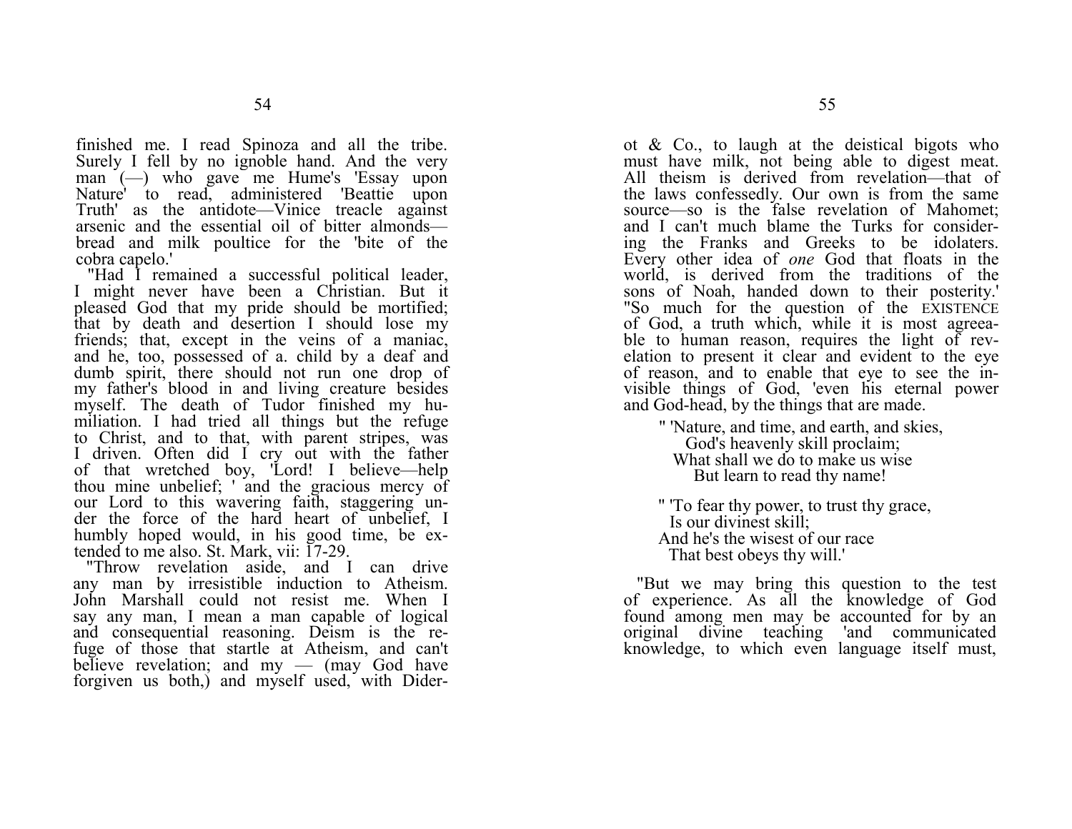finished me. I read Spinoza and all the tribe. Surely I fell by no ignoble hand. And the very man (-) who gave me Hume's 'Essay upon Nature' to read, administered 'Beattie upon Truth' as the antidote—Vinice treacle against arsenic and the essential oil of bitter almonds bread and milk poultice for the 'bite of the cobra capelo.'

"Had I remained a successful political leader, I might never have been a Christian. But it pleased God that my pride should be mortified; that by death and desertion I should lose my friends; that, except in the veins of a maniac, and he, too, possessed of a. child by a deaf and dumb spirit, there should not run one drop of my father's blood in and living creature besides myself. The death of Tudor finished my humiliation. I had tried all things but the refuge to Christ, and to that, with parent stripes, was I driven. Often did I cry out with the father of that wretched boy, 'Lord! I believe—help thou mine unbelief; ' and the gracious mercy of our Lord to this wavering faith, staggering under the force of the hard heart of unbelief, I humbly hoped would, in his good time, be extended to me also. St. Mark, vii: 17-29.

"Throw revelation aside, and I can drive any man by irresistible induction to Atheism. John Marshall could not resist me. When I say any man, I mean a man capable of logical and consequential reasoning. Deism is the refuge of those that startle at Atheism, and can't believe revelation; and  $mv - (mav)$  God have forgiven us both,) and myself used, with Diderot & Co., to laugh at the deistical bigots who must have milk, not being able to digest meat. All theism is derived from revelation—that of the laws confessedly. Our own is from the same source—so is the false revelation of Mahomet; and I can't much blame the Turks for considering the Franks and Greeks to be idolaters. Every other idea of *one* God that floats in the world, is derived from the traditions of the sons of Noah, handed down to their posterity.' "So much for the question of the EXISTENCE of God, a truth which, while it is most agreeable to human reason, requires the light of revelation to present it clear and evident to the eye of reason, and to enable that eye to see the invisible things of God, 'even his eternal power and God-head, by the things that are made.

" 'Nature, and time, and earth, and skies, God's heavenly skill proclaim; What shall we do to make us wise But learn to read thy name!

" 'To fear thy power, to trust thy grace, Is our divinest skill; And he's the wisest of our race That best obeys thy will.'

"But we may bring this question to the test of experience. As all the knowledge of God found among men may be accounted for by an original divine teaching 'and communicated knowledge, to which even language itself must,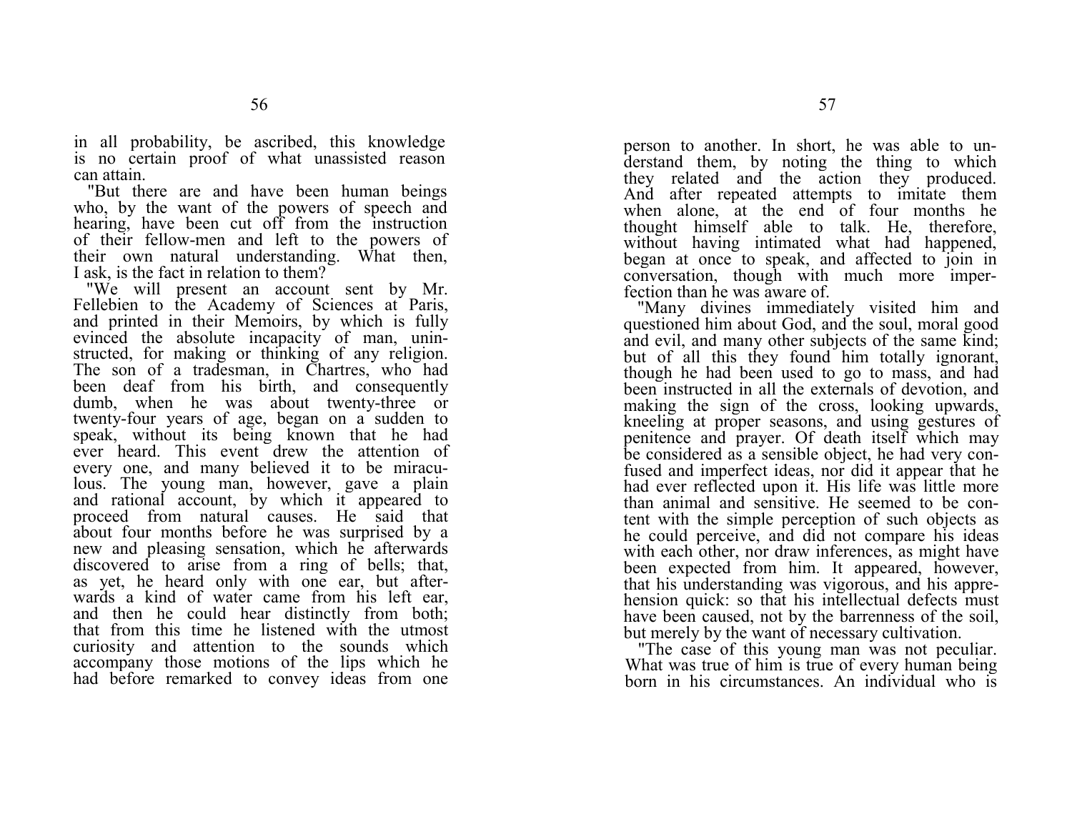in all probability, be ascribed, this knowledge is no certain proof of what unassisted reason can attain.

"But there are and have been human beings who, by the want of the powers of speech and hearing, have been cut off from the instruction of their fellow-men and left to the powers of their own natural understanding. What then, I ask, is the fact in relation to them?

"We will present an account sent by Mr. Fellebien to the Academy of Sciences at Paris, and printed in their Memoirs, by which is fully evinced the absolute incapacity of man, uninstructed, for making or thinking of any religion. The son of a tradesman, in Chartres, who had been deaf from his birth, and consequently dumb, when he was about twenty-three or twenty-four years of age, began on a sudden to speak, without its being known that he had ever heard. This event drew the attention of every one, and many believed it to be miraculous. The young man, however, gave a plain and rational account, by which it appeared to proceed from natural causes. He said that about four months before he was surprised by a new and pleasing sensation, which he afterwards discovered to arise from a ring of bells; that, as yet, he heard only with one ear, but afterwards a kind of water came from his left ear, and then he could hear distinctly from both; that from this time he listened with the utmost curiosity and attention to the sounds which accompany those motions of the lips which he had before remarked to convey ideas from one

person to another. In short, he was able to understand them, by noting the thing to which they related and the action they produced. And after repeated attempts to imitate them when alone, at the end of four months he thought himself able to talk. He, therefore, without having intimated what had happened, began at once to speak, and affected to join in conversation, though with much more imperfection than he was aware of.

"Many divines immediately visited him and questioned him about God, and the soul, moral good and evil, and many other subjects of the same kind; but of all this they found him totally ignorant, though he had been used to go to mass, and had been instructed in all the externals of devotion, and making the sign of the cross, looking upwards, kneeling at proper seasons, and using gestures of penitence and prayer. Of death itself which may be considered as a sensible object, he had very confused and imperfect ideas, nor did it appear that he had ever reflected upon it. His life was little more than animal and sensitive. He seemed to be content with the simple perception of such objects as he could perceive, and did not compare his ideas with each other, nor draw inferences, as might have been expected from him. It appeared, however, that his understanding was vigorous, and his apprehension quick: so that his intellectual defects must have been caused, not by the barrenness of the soil, but merely by the want of necessary cultivation.

"The case of this young man was not peculiar. What was true of him is true of every human being born in his circumstances. An individual who is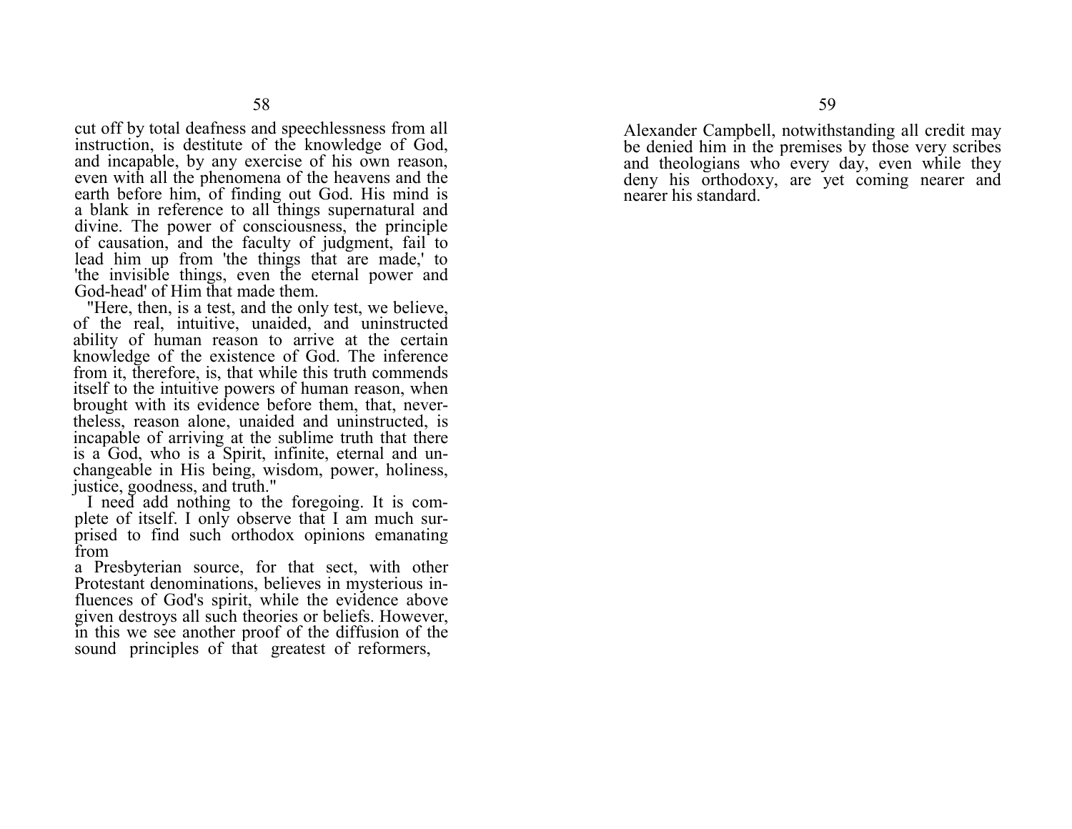cut off by total deafness and speechlessness from all instruction, is destitute of the knowledge of God, and incapable, by any exercise of his own reason, even with all the phenomena of the heavens and the earth before him, of finding out God. His mind is a blank in reference to all things supernatural and divine. The power of consciousness, the principle of causation, and the faculty of judgment, fail to lead him up from 'the things that are made,' to 'the invisible things, even the eternal power and God-head' of Him that made them.

 "Here, then, is a test, and the only test, we believe, of the real, intuitive, unaided, and uninstructed ability of human reason to arrive at the certain knowledge of the existence of God. The inference from it, therefore, is, that while this truth commends itself to the intuitive powers of human reason, when brought with its evidence before them, that, nevertheless, reason alone, unaided and uninstructed, is incapable of arriving at the sublime truth that there is a God, who is a Spirit, infinite, eternal and unchangeable in His being, wisdom, power, holiness, justice, goodness, and truth."

I need add nothing to the foregoing. It is complete of itself. I only observe that I am much surprised to find such orthodox opinions emanating from

a Presbyterian source, for that sect, with other Protestant denominations, believes in mysterious influences of God's spirit, while the evidence above given destroys all such theories or beliefs. However, in this we see another proof of the diffusion of the sound principles of that greatest of reformers,

Alexander Campbell, notwithstanding all credit may be denied him in the premises by those very scribes and theologians who every day, even while they deny his orthodoxy, are yet coming nearer and nearer his standard.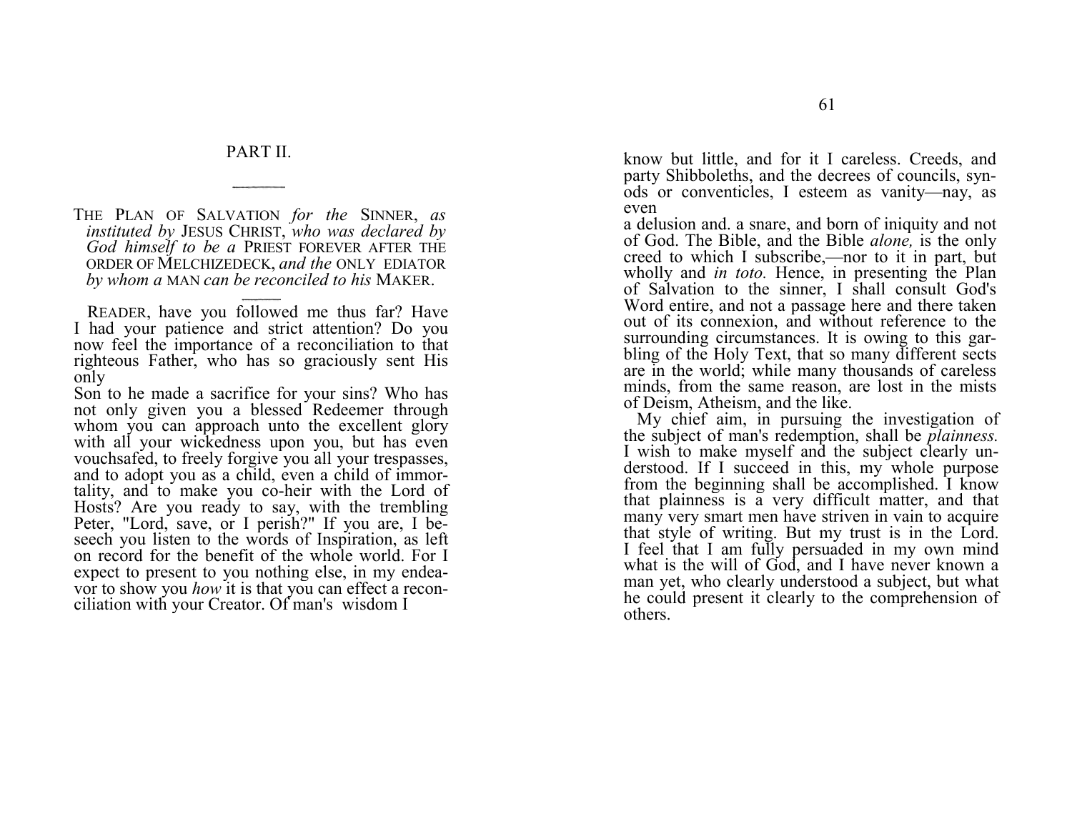## PART II.

THE PLAN OF SALVATION *for the*  SINNER, *as instituted by*  JESUS CHRIST, *who was declared by God himself to be a*  PRIEST FOREVER AFTER THE ORDER OF MELCHIZEDECK, *and the* ONLY EDIATOR *by whom a* MAN *can be reconciled to his*  MAKER.

READER, have you followed me thus far? Have I had your patience and strict attention? Do you now feel the importance of a reconciliation to that righteous Father, who has so graciously sent His only

Son to he made a sacrifice for your sins? Who has not only given you a blessed Redeemer through whom you can approach unto the excellent glory with all your wickedness upon you, but has even vouchsafed, to freely forgive you all your trespasses, and to adopt you as a child, even a child of immortality, and to make you co-heir with the Lord of Hosts? Are you ready to say, with the trembling Peter, "Lord, save, or I perish?" If you are, I beseech you listen to the words of Inspiration, as left on record for the benefit of the whole world. For I expect to present to you nothing else, in my endeavor to show you *how* it is that you can effect a reconciliation with your Creator. Of man's wisdom I

know but little, and for it I careless. Creeds, and party Shibboleths, and the decrees of councils, synods or conventicles, I esteem as vanity—nay, as even

a delusion and. a snare, and born of iniquity and not of God. The Bible, and the Bible *alone,* is the only creed to which I subscribe,—nor to it in part, but wholly and *in toto*. Hence, in presenting the Plan of Salvation to the sinner, I shall consult God's Word entire, and not a passage here and there taken out of its connexion, and without reference to the surrounding circumstances. It is owing to this garbling of the Holy Text, that so many different sects are in the world; while many thousands of careless minds, from the same reason, are lost in the mists of Deism, Atheism, and the like.

My chief aim, in pursuing the investigation of the subject of man's redemption, shall be *plainness.*  I wish to make myself and the subject clearly understood. If I succeed in this, my whole purpose from the beginning shall be accomplished. I know that plainness is a very difficult matter, and that many very smart men have striven in vain to acquire that style of writing. But my trust is in the Lord. I feel that I am fully persuaded in my own mind what is the will of God, and I have never known a man yet, who clearly understood a subject, but what he could present it clearly to the comprehension of others.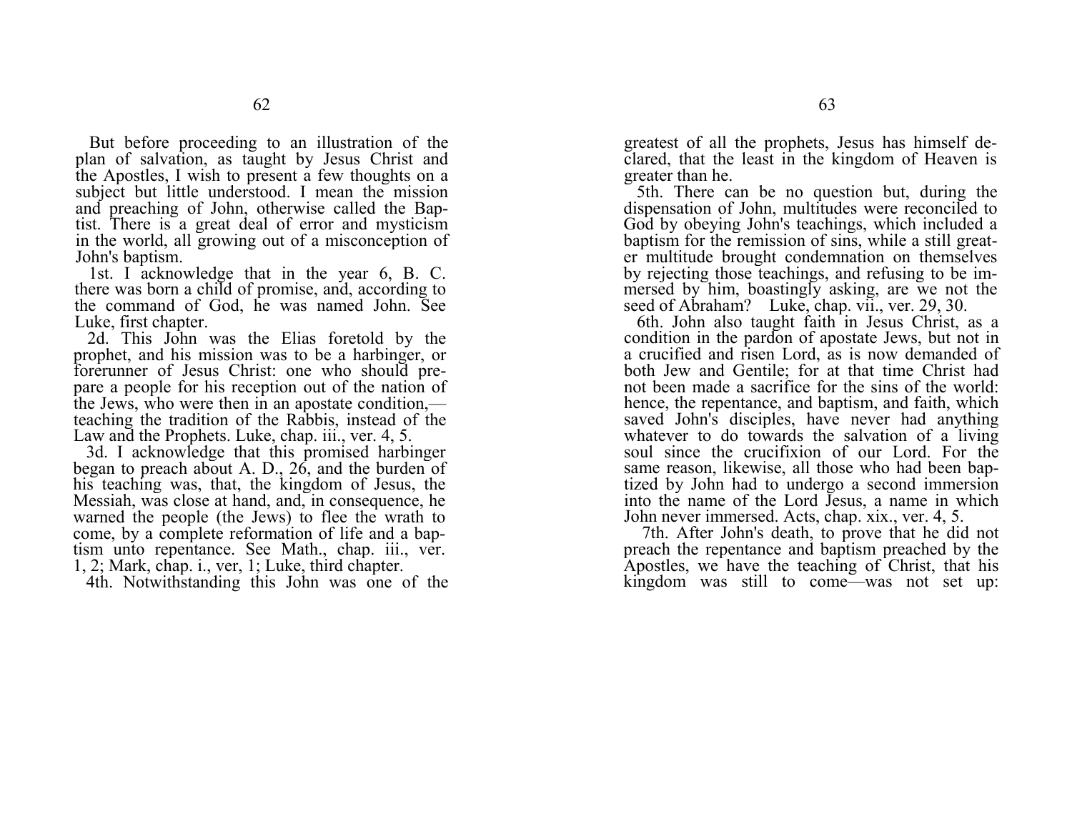But before proceeding to an illustration of the plan of salvation, as taught by Jesus Christ and the Apostles, I wish to present a few thoughts on a subject but little understood. I mean the mission and preaching of John, otherwise called the Baptist. There is a great deal of error and mysticism in the world, all growing out of a misconception of John's baptism.

1st. I acknowledge that in the year 6, B. C. there was born a child of promise, and, according to the command of God, he was named John. See Luke, first chapter.

2d. This John was the Elias foretold by the prophet, and his mission was to be a harbinger, or forerunner of Jesus Christ: one who should prepare a people for his reception out of the nation of the Jews, who were then in an apostate condition, teaching the tradition of the Rabbis, instead of the Law and the Prophets. Luke, chap. iii., ver. 4, 5.

3d. I acknowledge that this promised harbinger began to preach about A. D., 26, and the burden of his teaching was, that, the kingdom of Jesus, the Messiah, was close at hand, and, in consequence, he warned the people (the Jews) to flee the wrath to come, by a complete reformation of life and a baptism unto repentance. See Math., chap. iii., ver. 1, 2; Mark, chap. i., ver, 1; Luke, third chapter.

4th. Notwithstanding this John was one of the

greatest of all the prophets, Jesus has himself declared, that the least in the kingdom of Heaven is greater than he.

5th. There can be no question but, during the dispensation of John, multitudes were reconciled to God by obeying John's teachings, which included a baptism for the remission of sins, while a still greater multitude brought condemnation on themselves by rejecting those teachings, and refusing to be immersed by him, boastingly asking, are we not the seed of Abraham? Luke, chap. vii., ver. 29, 30.

6th. John also taught faith in Jesus Christ, as a condition in the pardon of apostate Jews, but not in a crucified and risen Lord, as is now demanded of both Jew and Gentile; for at that time Christ had not been made a sacrifice for the sins of the world: hence, the repentance, and baptism, and faith, which saved John's disciples, have never had anything whatever to do towards the salvation of a living soul since the crucifixion of our Lord. For the same reason, likewise, all those who had been baptized by John had to undergo a second immersion into the name of the Lord Jesus, a name in which John never immersed. Acts, chap. xix., ver. 4, 5.

7th. After John's death, to prove that he did not preach the repentance and baptism preached by the Apostles, we have the teaching of Christ, that his kingdom was still to come—was not set up: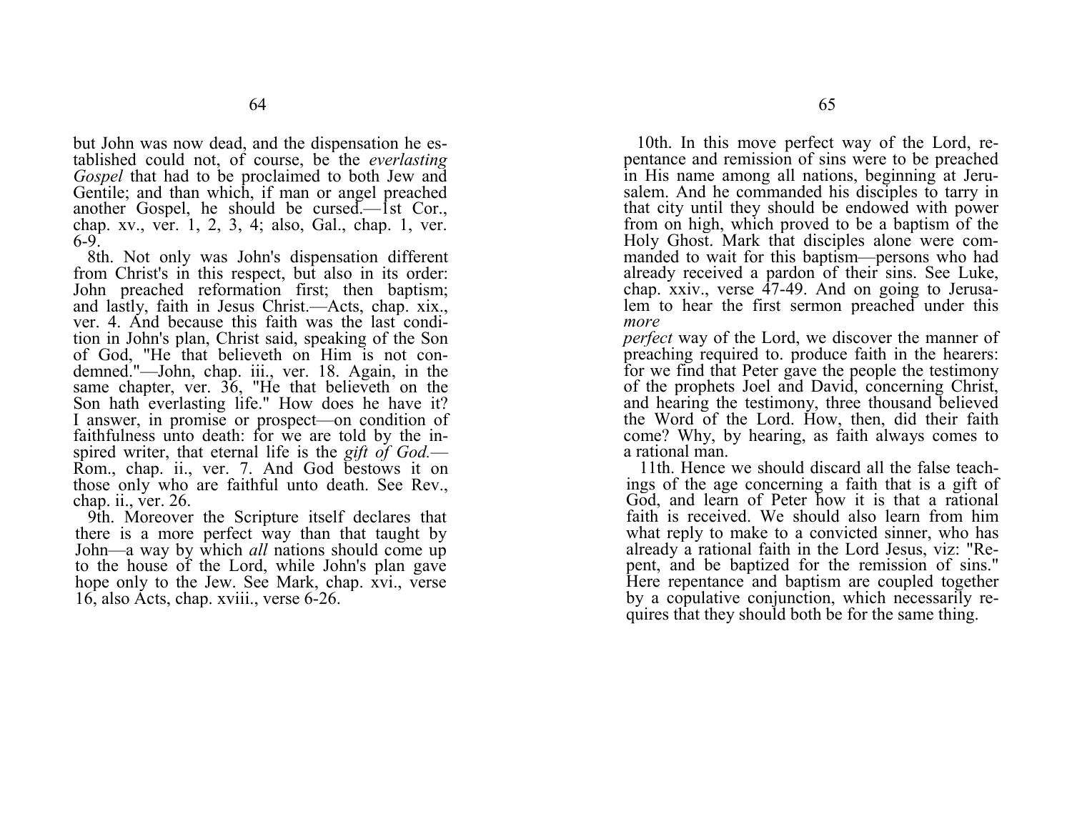but John was now dead, and the dispensation he established could not, of course, be the *everlasting Gospel* that had to be proclaimed to both Jew and Gentile; and than which, if man or angel preached another Gospel, he should be cursed.—1st Cor., chap. xv., ver. 1, 2, 3, 4; also, Gal., chap. 1, ver. 6-9.

8th. Not only was John's dispensation different from Christ's in this respect, but also in its order: John preached reformation first; then baptism; and lastly, faith in Jesus Christ.—Acts, chap. xix., ver. 4. And because this faith was the last condition in John's plan, Christ said, speaking of the Son of God, "He that believeth on Him is not condemned."—John, chap. iii., ver. 18. Again, in the same chapter, ver. 36, "He that believeth on the Son hath everlasting life." How does he have it? I answer, in promise or prospect—on condition of faithfulness unto death: for we are told by the inspired writer, that eternal life is the *gift of God.*— Rom., chap. ii., ver. 7. And God bestows it on those only who are faithful unto death. See Rev., chap. ii., ver. 26.

9th. Moreover the Scripture itself declares that there is a more perfect way than that taught by John—a way by which *all* nations should come up to the house of the Lord, while John's plan gave hope only to the Jew. See Mark, chap. xvi., verse 16, also Acts, chap. xviii., verse 6-26.

10th. In this move perfect way of the Lord, repentance and remission of sins were to be preached in His name among all nations, beginning at Jerusalem. And he commanded his disciples to tarry in that city until they should be endowed with power from on high, which proved to be a baptism of the Holy Ghost. Mark that disciples alone were commanded to wait for this baptism—persons who had already received a pardon of their sins. See Luke, chap. xxiv., verse 47-49. And on going to Jerusalem to hear the first sermon preached under this *more* 

*perfect* way of the Lord, we discover the manner of preaching required to. produce faith in the hearers: for we find that Peter gave the people the testimony of the prophets Joel and David, concerning Christ, and hearing the testimony, three thousand believed the Word of the Lord. How, then, did their faith come? Why, by hearing, as faith always comes to a rational man.

11th. Hence we should discard all the false teachings of the age concerning a faith that is a gift of God, and learn of Peter how it is that a rational faith is received. We should also learn from him what reply to make to a convicted sinner, who has already a rational faith in the Lord Jesus, viz: "Repent, and be baptized for the remission of sins." Here repentance and baptism are coupled together by a copulative conjunction, which necessarily requires that they should both be for the same thing.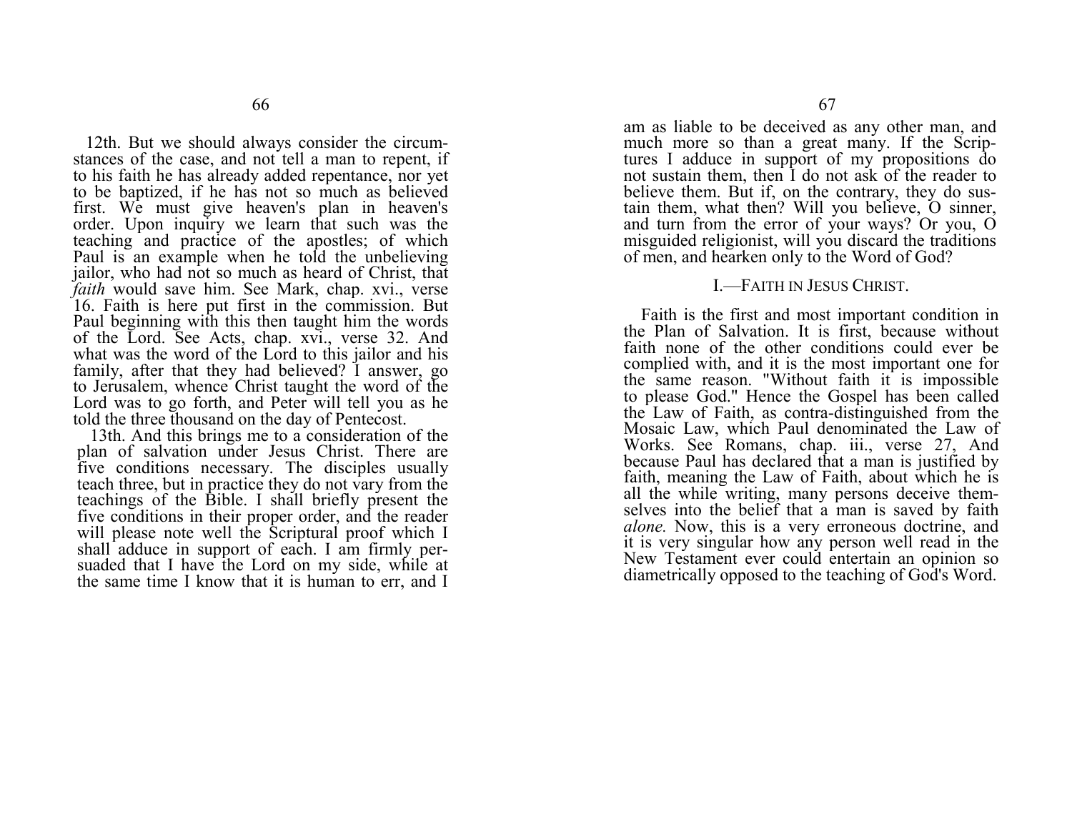12th. But we should always consider the circumstances of the case, and not tell a man to repent, if to his faith he has already added repentance, nor yet to be baptized, if he has not so much as believed first. We must give heaven's plan in heaven's order. Upon inquiry we learn that such was the teaching and practice of the apostles; of which Paul is an example when he told the unbelieving jailor, who had not so much as heard of Christ, that *faith* would save him. See Mark, chap. xvi., verse 16. Faith is here put first in the commission. But Paul beginning with this then taught him the words of the Lord. See Acts, chap. xvi., verse 32. And what was the word of the Lord to this jailor and his family, after that they had believed? I answer, go to Jerusalem, whence Christ taught the word of the Lord was to go forth, and Peter will tell you as he told the three thousand on the day of Pentecost.

13th. And this brings me to a consideration of the plan of salvation under Jesus Christ. There are five conditions necessary. The disciples usually teach three, but in practice they do not vary from the teachings of the Bible. I shall briefly present the five conditions in their proper order, and the reader will please note well the Scriptural proof which I shall adduce in support of each. I am firmly persuaded that I have the Lord on my side, while at the same time I know that it is human to err, and I

am as liable to be deceived as any other man, and much more so than a great many. If the Scriptures I adduce in support of my propositions do not sustain them, then I do not ask of the reader to believe them. But if, on the contrary, they do sustain them, what then? Will you believe, O sinner, and turn from the error of your ways? Or you, O misguided religionist, will you discard the traditions of men, and hearken only to the Word of God?

#### I.—FAITH IN JESUS CHRIST.

Faith is the first and most important condition in the Plan of Salvation. It is first, because without faith none of the other conditions could ever be complied with, and it is the most important one for the same reason. "Without faith it is impossible to please God." Hence the Gospel has been called the Law of Faith, as contra-distinguished from the Mosaic Law, which Paul denominated the Law of Works. See Romans, chap. iii., verse 27, And because Paul has declared that a man is justified by faith, meaning the Law of Faith, about which he is all the while writing, many persons deceive themselves into the belief that a man is saved by faith *alone.* Now, this is a very erroneous doctrine, and it is very singular how any person well read in the New Testament ever could entertain an opinion so diametrically opposed to the teaching of God's Word.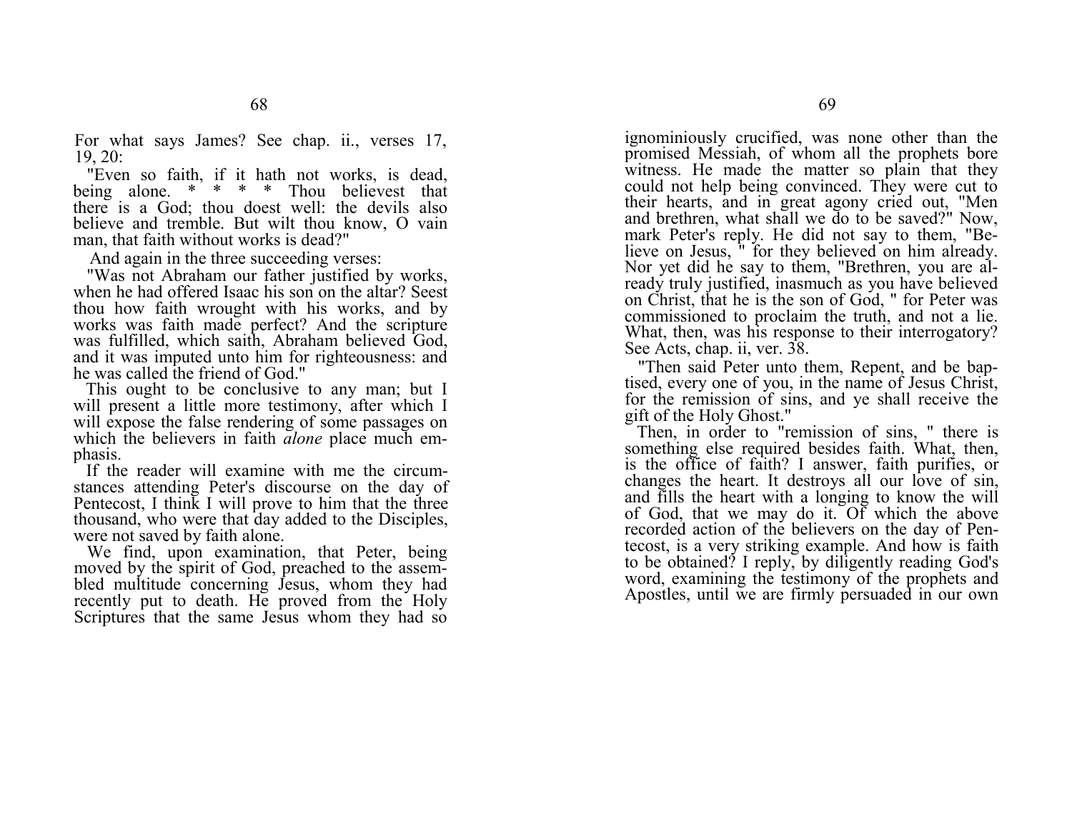For what says James? See chap. ii., verses 17, 19, 20:

"Even so faith, if it hath not works, is dead, being alone. \* \* \* \* Thou believest that there is a God; thou doest well: the devils also believe and tremble. But wilt thou know, O vain man, that faith without works is dead?"

And again in the three succeeding verses:

"Was not Abraham our father justified by works, when he had offered Isaac his son on the altar? Seest thou how faith wrought with his works, and by works was faith made perfect? And the scripture was fulfilled, which saith, Abraham believed God, and it was imputed unto him for righteousness: and he was called the friend of God."

This ought to be conclusive to any man; but I will present a little more testimony, after which I will expose the false rendering of some passages on which the believers in faith *alone* place much emphasis.

If the reader will examine with me the circumstances attending Peter's discourse on the day of Pentecost, I think I will prove to him that the three thousand, who were that day added to the Disciples, were not saved by faith alone.

We find, upon examination, that Peter, being moved by the spirit of God, preached to the assembled multitude concerning Jesus, whom they had recently put to death. He proved from the Holy Scriptures that the same Jesus whom they had so

ignominiously crucified, was none other than the promised Messiah, of whom all the prophets bore witness. He made the matter so plain that they could not help being convinced. They were cut to their hearts, and in great agony cried out, "Men and brethren, what shall we do to be saved?" Now, mark Peter's reply. He did not say to them, "Believe on Jesus, " for they believed on him already. Nor yet did he say to them, "Brethren, you are already truly justified, inasmuch as you have believed on Christ, that he is the son of God, " for Peter was commissioned to proclaim the truth, and not a lie. What, then, was his response to their interrogatory? See Acts, chap. ii, ver. 38.

"Then said Peter unto them, Repent, and be baptised, every one of you, in the name of Jesus Christ, for the remission of sins, and ye shall receive the gift of the Holy Ghost."

Then, in order to "remission of sins, " there is something else required besides faith. What, then, is the office of faith? I answer, faith purifies, or changes the heart. It destroys all our love of sin, and fills the heart with a longing to know the will of God, that we may do it.  $\overline{Of}$  which the above recorded action of the believers on the day of Pentecost, is a very striking example. And how is faith to be obtained? I reply, by diligently reading God's word, examining the testimony of the prophets and Apostles, until we are firmly persuaded in our own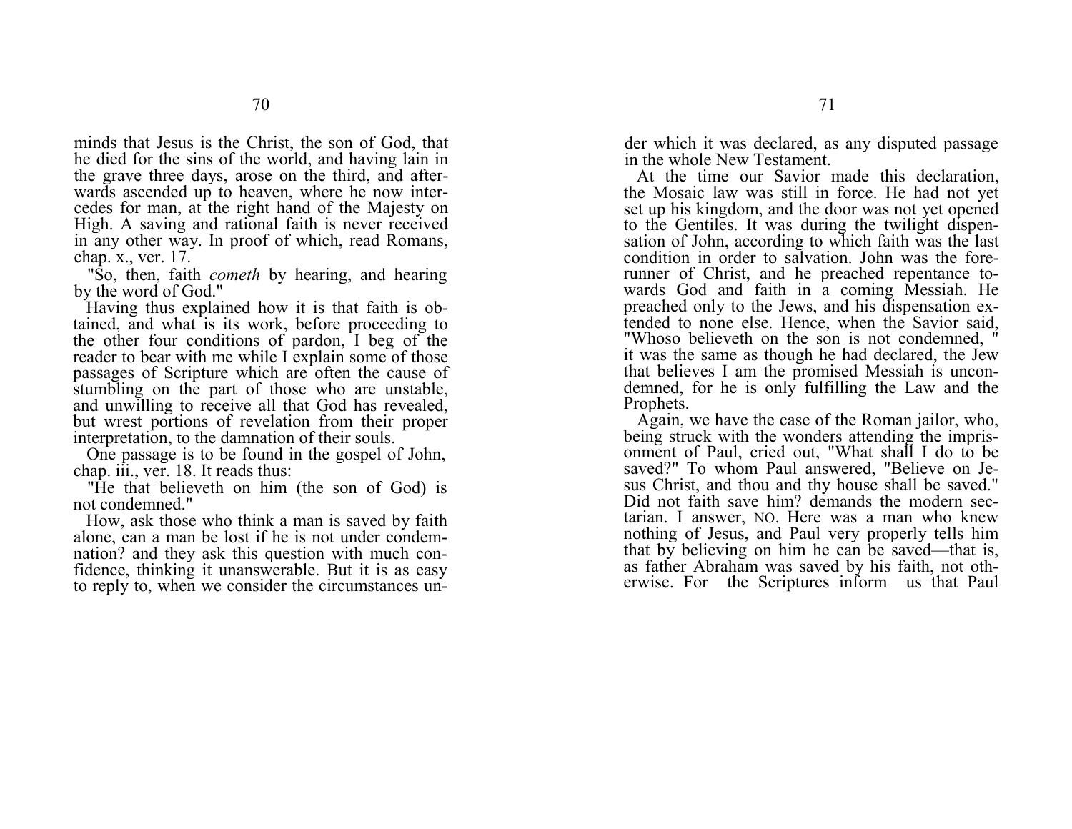minds that Jesus is the Christ, the son of God, that he died for the sins of the world, and having lain in the grave three days, arose on the third, and afterwards ascended up to heaven, where he now intercedes for man, at the right hand of the Majesty on High. A saving and rational faith is never received in any other way. In proof of which, read Romans, chap. x., ver. 17.

"So, then, faith *cometh* by hearing, and hearing by the word of God."

Having thus explained how it is that faith is obtained, and what is its work, before proceeding to the other four conditions of pardon, I beg of the reader to bear with me while I explain some of those passages of Scripture which are often the cause of stumbling on the part of those who are unstable, and unwilling to receive all that God has revealed, but wrest portions of revelation from their proper interpretation, to the damnation of their souls.

One passage is to be found in the gospel of John, chap. iii., ver. 18. It reads thus:

"He that believeth on him (the son of God) is not condemned."

How, ask those who think a man is saved by faith alone, can a man be lost if he is not under condemnation? and they ask this question with much confidence, thinking it unanswerable. But it is as easy to reply to, when we consider the circumstances under which it was declared, as any disputed passage in the whole New Testament.

At the time our Savior made this declaration, the Mosaic law was still in force. He had not yet set up his kingdom, and the door was not yet opened to the Gentiles. It was during the twilight dispensation of John, according to which faith was the last condition in order to salvation. John was the forerunner of Christ, and he preached repentance towards God and faith in a coming Messiah. He preached only to the Jews, and his dispensation extended to none else. Hence, when the Savior said, "Whoso believeth on the son is not condemned, " it was the same as though he had declared, the Jew that believes I am the promised Messiah is uncondemned, for he is only fulfilling the Law and the Prophets.

Again, we have the case of the Roman jailor, who, being struck with the wonders attending the imprisonment of Paul, cried out, "What shall I do to be saved?" To whom Paul answered, "Believe on Jesus Christ, and thou and thy house shall be saved." Did not faith save him? demands the modern sectarian. I answer, NO. Here was a man who knew nothing of Jesus, and Paul very properly tells him that by believing on him he can be saved—that is, as father Abraham was saved by his faith, not otherwise. For the Scriptures inform us that Paul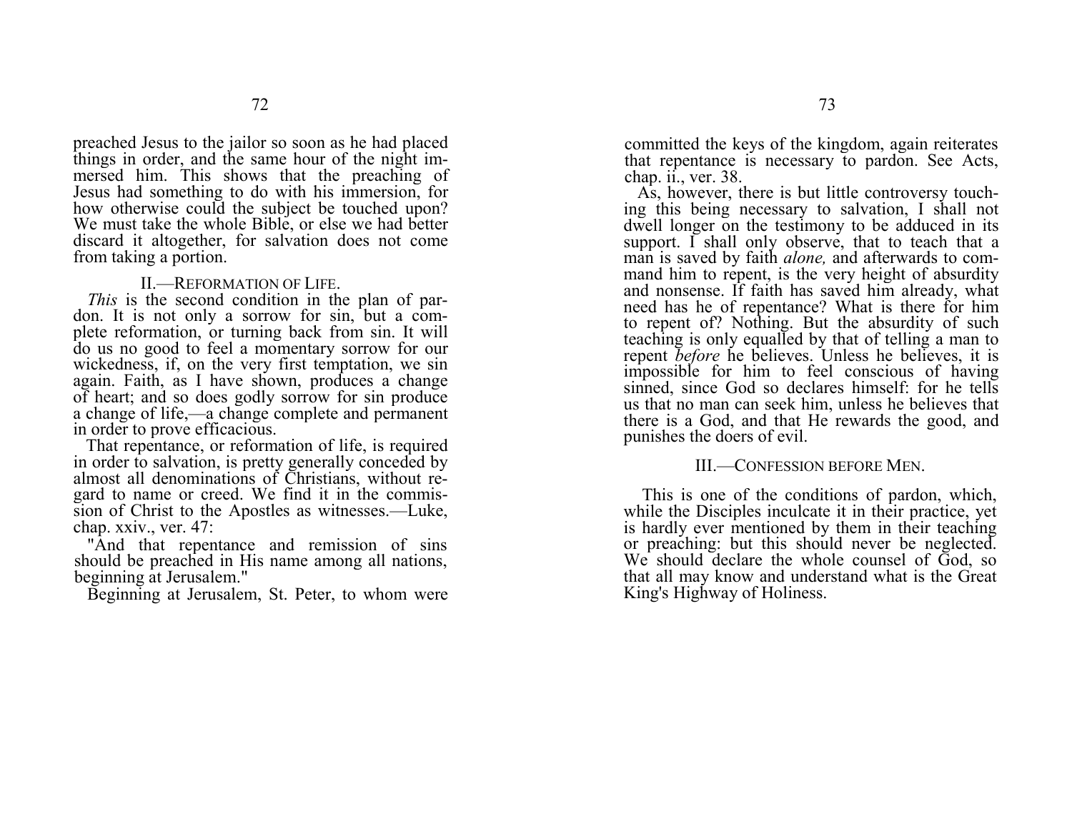preached Jesus to the jailor so soon as he had placed things in order, and the same hour of the night immersed him. This shows that the preaching of Jesus had something to do with his immersion, for how otherwise could the subject be touched upon? We must take the whole Bible, or else we had better discard it altogether, for salvation does not come from taking a portion.

#### II.—REFORMATION OF LIFE.

*This* is the second condition in the plan of pardon. It is not only a sorrow for sin, but a complete reformation, or turning back from sin. It will do us no good to feel a momentary sorrow for our wickedness, if, on the very first temptation, we sin again. Faith, as I have shown, produces a change of heart; and so does godly sorrow for sin produce a change of life,—a change complete and permanent in order to prove efficacious.

That repentance, or reformation of life, is required in order to salvation, is pretty generally conceded by almost all denominations of Christians, without regard to name or creed. We find it in the commission of Christ to the Apostles as witnesses.—Luke, chap. xxiv., ver. 47:

"And that repentance and remission of sins should be preached in His name among all nations, beginning at Jerusalem."

Beginning at Jerusalem, St. Peter, to whom were

committed the keys of the kingdom, again reiterates that repentance is necessary to pardon. See Acts, chap. ii., ver. 38.

As, however, there is but little controversy touching this being necessary to salvation, I shall not dwell longer on the testimony to be adduced in its support. I shall only observe, that to teach that a man is saved by faith *alone,* and afterwards to command him to repent, is the very height of absurdity and nonsense. If faith has saved him already, what need has he of repentance? What is there for him to repent of? Nothing. But the absurdity of such teaching is only equalled by that of telling a man to repen<sup>t</sup>*before* he believes. Unless he believes, it is impossible for him to feel conscious of having sinned, since God so declares himself: for he tells us that no man can seek him, unless he believes that there is a God, and that He rewards the good, and punishes the doers of evil.

#### III.—CONFESSION BEFORE MEN.

This is one of the conditions of pardon, which, while the Disciples inculcate it in their practice, yet is hardly ever mentioned by them in their teaching or preaching: but this should never be neglected. We should declare the whole counsel of  $\overline{G}$  od, so that all may know and understand what is the Great King's Highway of Holiness.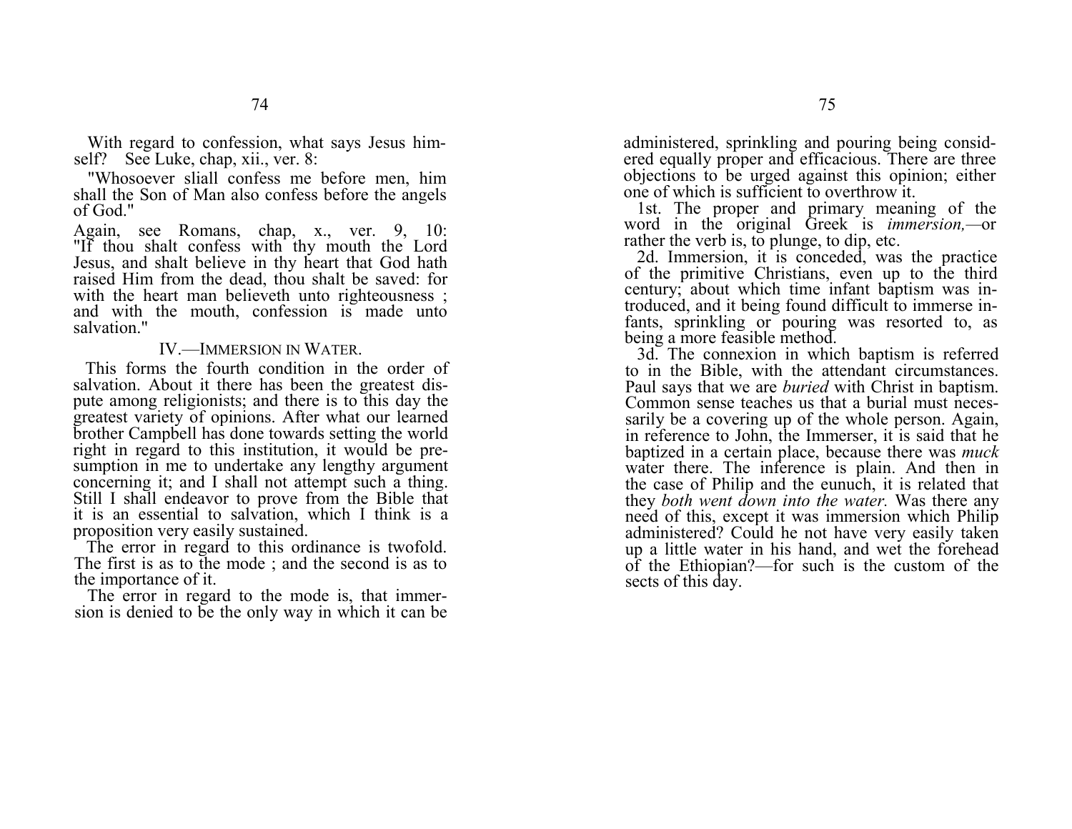With regard to confession, what says Jesus himself? See Luke, chap, xii., ver. 8:

"Whosoever sliall confess me before men, him shall the Son of Man also confess before the angels of God."

Again, see Romans, chap, x., ver. 9, 10: "If thou shalt confess with thy mouth the Lord Jesus, and shalt believe in thy heart that God hath raised Him from the dead, thou shalt be saved: for with the heart man believeth unto righteousness ; and with the mouth, confession is made unto salvation."

#### IV.—IMMERSION IN WATER.

This forms the fourth condition in the order of salvation. About it there has been the greatest dispute among religionists; and there is to this day the greatest variety of opinions. After what our learned brother Campbell has done towards setting the world right in regard to this institution, it would be presumption in me to undertake any lengthy argument concerning it; and I shall not attempt such a thing. Still I shall endeavor to prove from the Bible that it is an essential to salvation, which I think is a proposition very easily sustained.

The error in regard to this ordinance is twofold. The first is as to the mode ; and the second is as to the importance of it.

The error in regard to the mode is, that immersion is denied to be the only way in which it can be administered, sprinkling and pouring being considered equally proper and efficacious. There are three objections to be urged against this opinion; either one of which is sufficient to overthrow it.

1st. The proper and primary meaning of the word in the original Greek is *immersion,—*or rather the verb is, to plunge, to dip, etc.

2d. Immersion, it is conceded, was the practice of the primitive Christians, even up to the third century; about which time infant baptism was introduced, and it being found difficult to immerse infants, sprinkling or pouring was resorted to, as being a more feasible method.

3d. The connexion in which baptism is referred to in the Bible, with the attendant circumstances. Paul says that we are *buried* with Christ in baptism. Common sense teaches us that a burial must necessarily be a covering up of the whole person. Again, in reference to John, the Immerser, it is said that he baptized in a certain place, because there was *muck*  water there. The inference is plain. And then in the case of Philip and the eunuch, it is related that they *both went down into the water.* Was there any need of this, except it was immersion which Philip administered? Could he not have very easily taken up a little water in his hand, and wet the forehead of the Ethiopian?—for such is the custom of the sects of this day.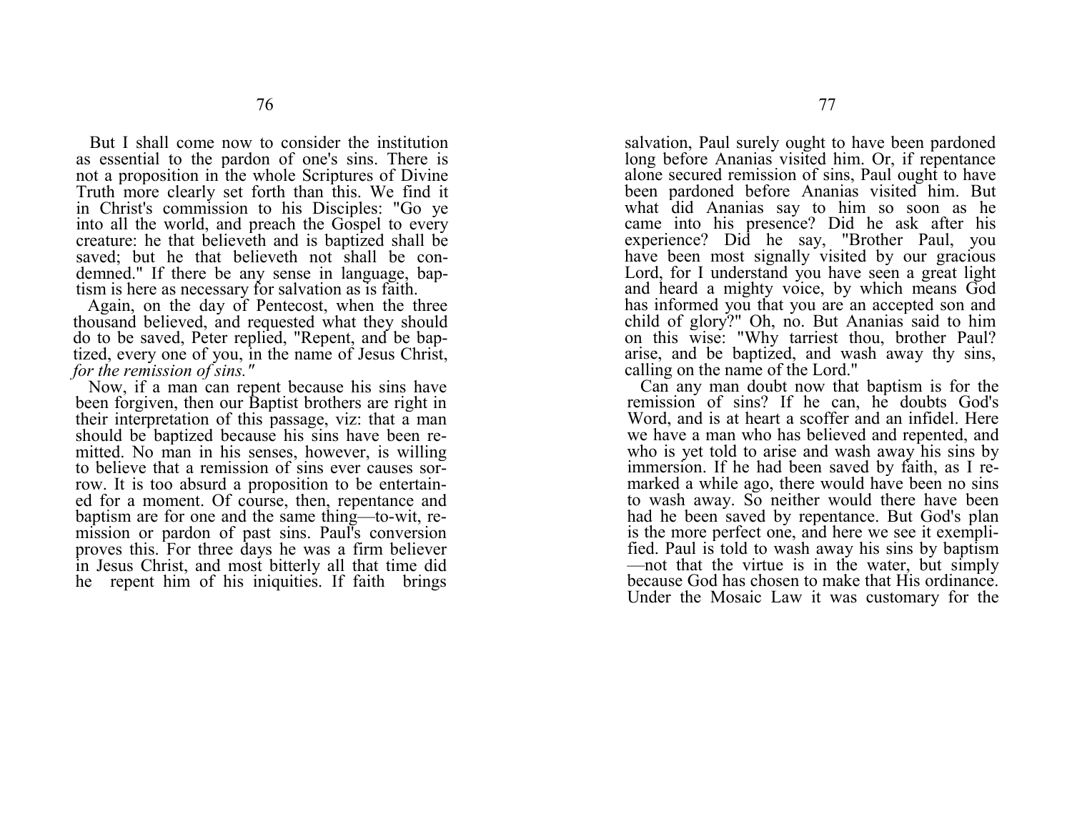But I shall come now to consider the institution as essential to the pardon of one's sins. There is not a proposition in the whole Scriptures of Divine Truth more clearly set forth than this. We find it in Christ's commission to his Disciples: "Go ye into all the world, and preach the Gospel to every creature: he that believeth and is baptized shall be saved; but he that believeth not shall be condemned." If there be any sense in language, baptism is here as necessary for salvation as is faith.

Again, on the day of Pentecost, when the three thousand believed, and requested what they should do to be saved, Peter replied, "Repent, and be baptized, every one of you, in the name of Jesus Christ, *for the remission of sins."*

Now, if a man can repent because his sins have been forgiven, then our Baptist brothers are right in their interpretation of this passage, viz: that a man should be baptized because his sins have been remitted. No man in his senses, however, is willing to believe that a remission of sins ever causes sorrow. It is too absurd a proposition to be entertained for a moment. Of course, then, repentance and baptism are for one and the same thing—to-wit, remission or pardon of past sins. Paul's conversion proves this. For three days he was a firm believer in Jesus Christ, and most bitterly all that time did he repent him of his iniquities. If faith brings

salvation, Paul surely ought to have been pardoned long before Ananias visited him. Or, if repentance alone secured remission of sins, Paul ought to have been pardoned before Ananias visited him. But what did Ananias say to him so soon as he came into his presence? Did he ask after his experience? Did he say, "Brother Paul, you have been most signally visited by our gracious Lord, for I understand you have seen a great light and heard a mighty voice, by which means God has informed you that you are an accepted son and child of glory?" Oh, no. But Ananias said to him on this wise: "Why tarriest thou, brother Paul? arise, and be baptized, and wash away thy sins, calling on the name of the Lord."

Can any man doubt now that baptism is for the remission of sins? If he can, he doubts God's Word, and is at heart a scoffer and an infidel. Here we have a man who has believed and repented, and who is yet told to arise and wash away his sins by immersion. If he had been saved by faith, as I remarked a while ago, there would have been no sins to wash away. So neither would there have been had he been saved by repentance. But God's plan is the more perfect one, and here we see it exemplified. Paul is told to wash away his sins by baptism —not that the virtue is in the water, but simply because God has chosen to make that His ordinance. Under the Mosaic Law it was customary for the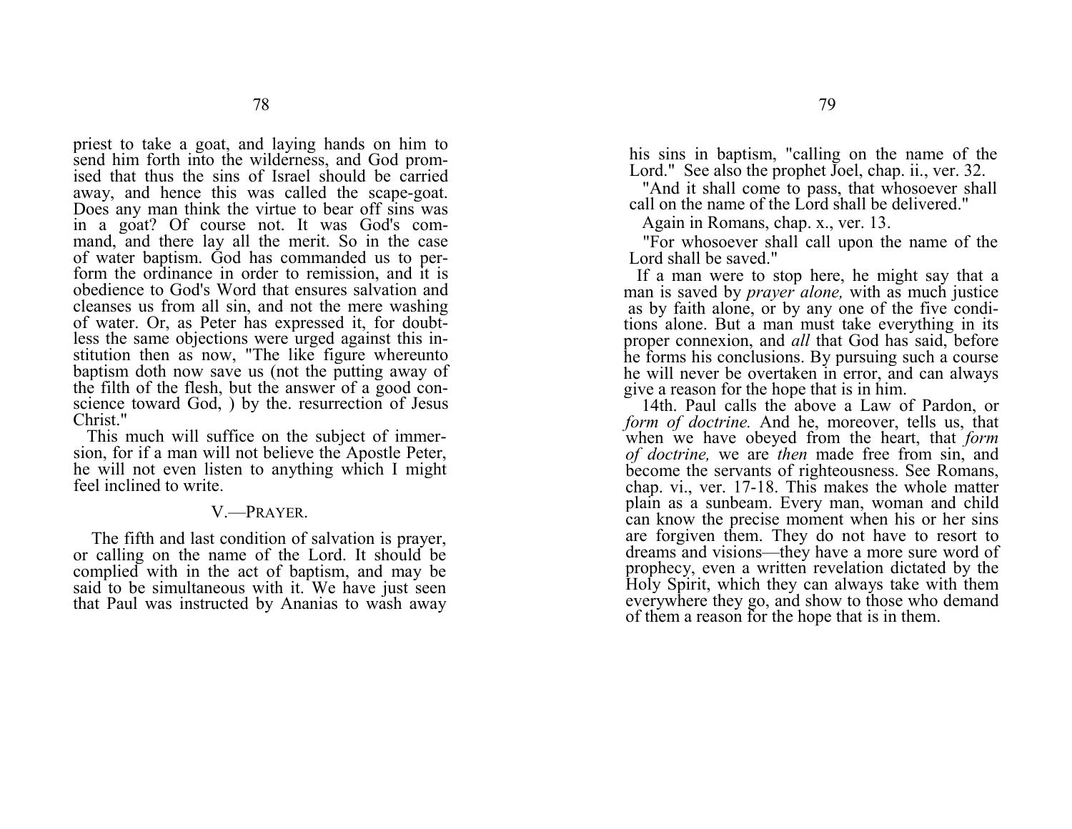priest to take a goat, and laying hands on him to send him forth into the wilderness, and God promised that thus the sins of Israel should be carried away, and hence this was called the scape-goat. Does any man think the virtue to bear off sins was in a goat? Of course not. It was God's command, and there lay all the merit. So in the case of water baptism. God has commanded us to perform the ordinance in order to remission, and it is obedience to God's Word that ensures salvation and cleanses us from all sin, and not the mere washing of water. Or, as Peter has expressed it, for doubtless the same objections were urged against this institution then as now, "The like figure whereunto baptism doth now save us (not the putting away of the filth of the flesh, but the answer of a good conscience toward God, ) by the. resurrection of Jesus Christ."

This much will suffice on the subject of immersion, for if a man will not believe the Apostle Peter, he will not even listen to anything which I might feel inclined to write.

#### V.—PRAYER.

The fifth and last condition of salvation is prayer, or calling on the name of the Lord. It should be complied with in the act of baptism, and may be said to be simultaneous with it. We have just seen that Paul was instructed by Ananias to wash away his sins in baptism, "calling on the name of the Lord." See also the prophet Joel, chap. ii., ver. 32.

"And it shall come to pass, that whosoever shall call on the name of the Lord shall be delivered."

Again in Romans, chap. x., ver. 13.

"For whosoever shall call upon the name of the Lord shall be saved."

If a man were to stop here, he might say that a man is saved by *prayer alone,* with as much justice as by faith alone, or by any one of the five conditions alone. But a man must take everything in its proper connexion, and *all* that God has said, before he forms his conclusions. By pursuing such a course he will never be overtaken in error, and can always give a reason for the hope that is in him.

14th. Paul calls the above a Law of Pardon, or *form of doctrine.* And he, moreover, tells us, that when we have obeyed from the heart, that *form of doctrine,* we are *then* made free from sin, and become the servants of righteousness. See Romans, chap. vi., ver. 17-18. This makes the whole matter plain as a sunbeam. Every man, woman and child can know the precise moment when his or her sins are forgiven them. They do not have to resort to dreams and visions—they have a more sure word of prophecy, even a written revelation dictated by the Holy Spirit, which they can always take with them everywhere they go, and show to those who demand of them a reason for the hope that is in them.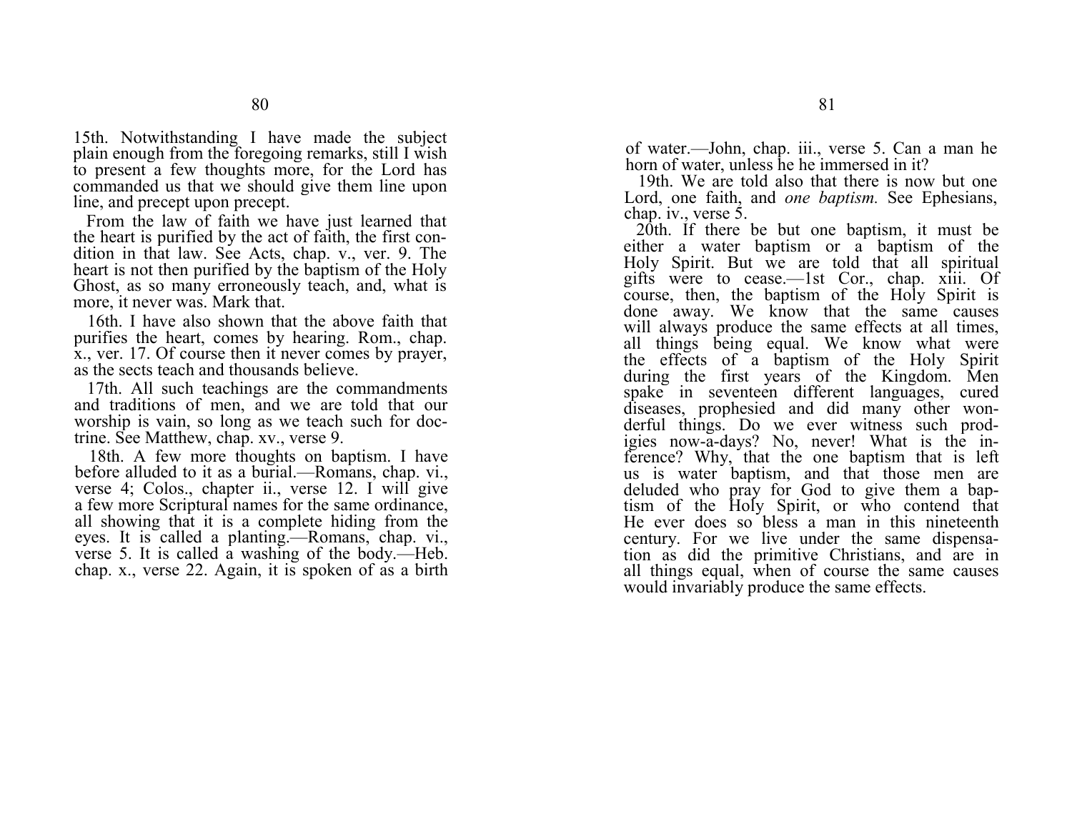15th. Notwithstanding I have made the subject plain enough from the foregoing remarks, still I wish to present a few thoughts more, for the Lord has commanded us that we should give them line upon line, and precept upon precept.

From the law of faith we have just learned that the heart is purified by the act of faith, the first condition in that law. See Acts, chap. v., ver. 9. The heart is not then purified by the baptism of the Holy Ghost, as so many erroneously teach, and, what is more, it never was. Mark that.

16th. I have also shown that the above faith that purifies the heart, comes by hearing. Rom., chap. x., ver. 17. Of course then it never comes by prayer, as the sects teach and thousands believe.

17th. All such teachings are the commandments and traditions of men, and we are told that our worship is vain, so long as we teach such for doctrine. See Matthew, chap. xv., verse 9.

18th. A few more thoughts on baptism. I have before alluded to it as a burial.—Romans, chap. vi., verse 4; Colos., chapter ii., verse 12. I will give a few more Scriptural names for the same ordinance, all showing that it is a complete hiding from the eyes. It is called a planting.—Romans, chap. vi., verse 5. It is called a washing of the body.—Heb. chap. x., verse 22. Again, it is spoken of as a birth

of water.—John, chap. iii., verse 5. Can a man he horn of water, unless he he immersed in it?

19th. We are told also that there is now but one Lord, one faith, and *one baptism*. See Ephesians, chap. iv., verse 5.

20th. If there be but one baptism, it must be either a water baptism or a baptism of the Holy Spirit. But we are told that all spiritual gifts were to cease.—1st Cor., chap. xiii. Of course, then, the baptism of the Holy Spirit is done away. We know that the same causes will always produce the same effects at all times, all things being equal. We know what were the effects of a baptism of the Holy Spirit during the first years of the Kingdom. Men spake in seventeen different languages, cured diseases, prophesied and did many other wonderful things. Do we ever witness such prodigies now-a-days? No, never! What is the inference? Why, that the one baptism that is left us is water baptism, and that those men are deluded who pray for God to give them a baptism of the Holy Spirit, or who contend that He ever does so bless a man in this nineteenth century. For we live under the same dispensation as did the primitive Christians, and are in all things equal, when of course the same causes would invariably produce the same effects.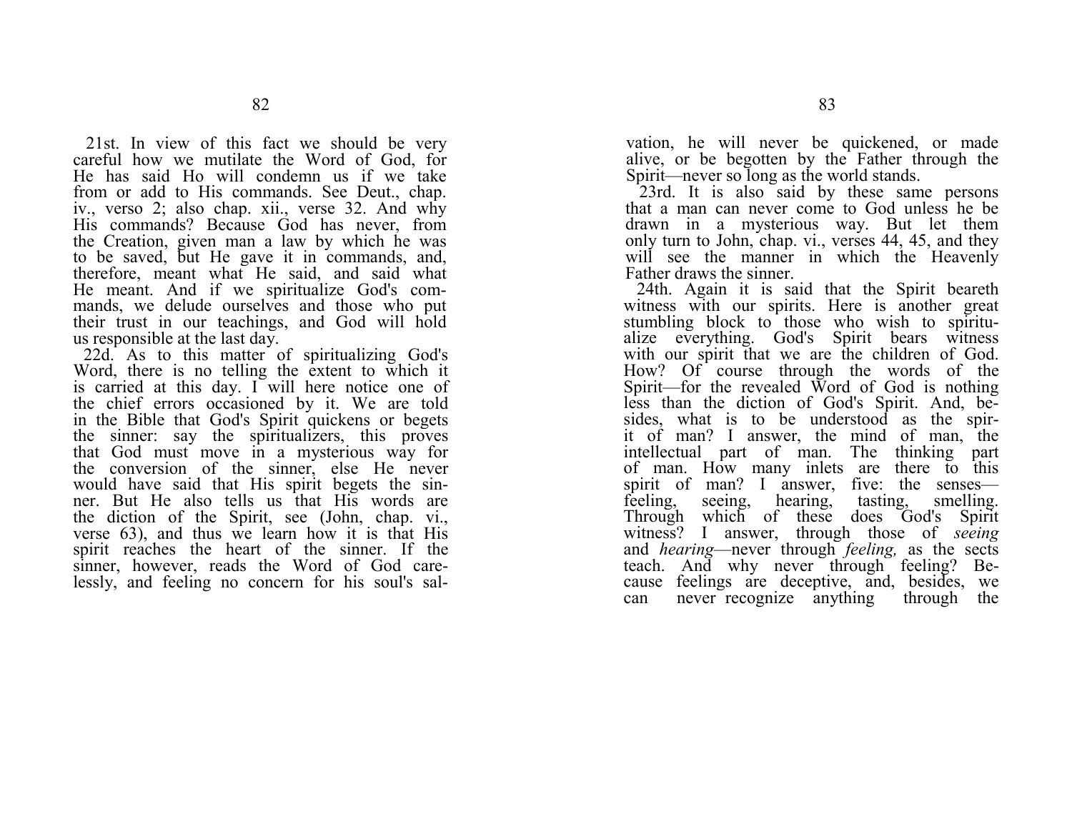21st. In view of this fact we should be very careful how we mutilate the Word of God, for He has said Ho will condemn us if we take from or add to His commands. See Deut., chap. iv., verso 2; also chap. xii., verse 32. And why His commands? Because God has never, from the Creation, given man a law by which he was to be saved, but He gave it in commands, and, therefore, meant what He said, and said what He meant. And if we spiritualize God's commands, we delude ourselves and those who put their trust in our teachings, and God will hold us responsible at the last day.

22d. As to this matter of spiritualizing God's Word, there is no telling the extent to which it is carried at this day. I will here notice one of the chief errors occasioned by it. We are told in the Bible that God's Spirit quickens or begets the sinner: say the spiritualizers, this proves that God must move in a mysterious way for the conversion of the sinner, else He never would have said that His spirit begets the sinner. But He also tells us that His words are the diction of the Spirit, see (John, chap. vi., verse 63), and thus we learn how it is that His spirit reaches the heart of the sinner. If the sinner, however, reads the Word of God carelessly, and feeling no concern for his soul's salvation, he will never be quickened, or made alive, or be begotten by the Father through the Spirit—never so long as the world stands.

23rd. It is also said by these same persons that a man can never come to God unless he be drawn in a mysterious way. But let them only turn to John, chap. vi., verses 44, 45, and they will see the manner in which the Heavenly Father draws the sinner.

24th. Again it is said that the Spirit beareth witness with our spirits. Here is another great stumbling block to those who wish to spiritualize everything. God's Spirit bears witness with our spirit that we are the children of God. How? Of course through the words of the Spirit—for the revealed Word of God is nothing less than the diction of God's Spirit. And, besides, what is to be understood as the spirit of man? I answer, the mind of man, the intellectual part of man. The thinking part of man. How many inlets are there to this spirit of man? I answer, five: the senses—<br>feeling, seeing, hearing, tasting, smelling. feeling, seeing, hearing, tasting, smelling. Through which of these does God's Spirit witness? I answer, through those of *seeing*  and *hearing*—never through *feeling,* as the sects teach. And why never through feeling? Because feelings are deceptive, and, besides, we can never recognize anything through the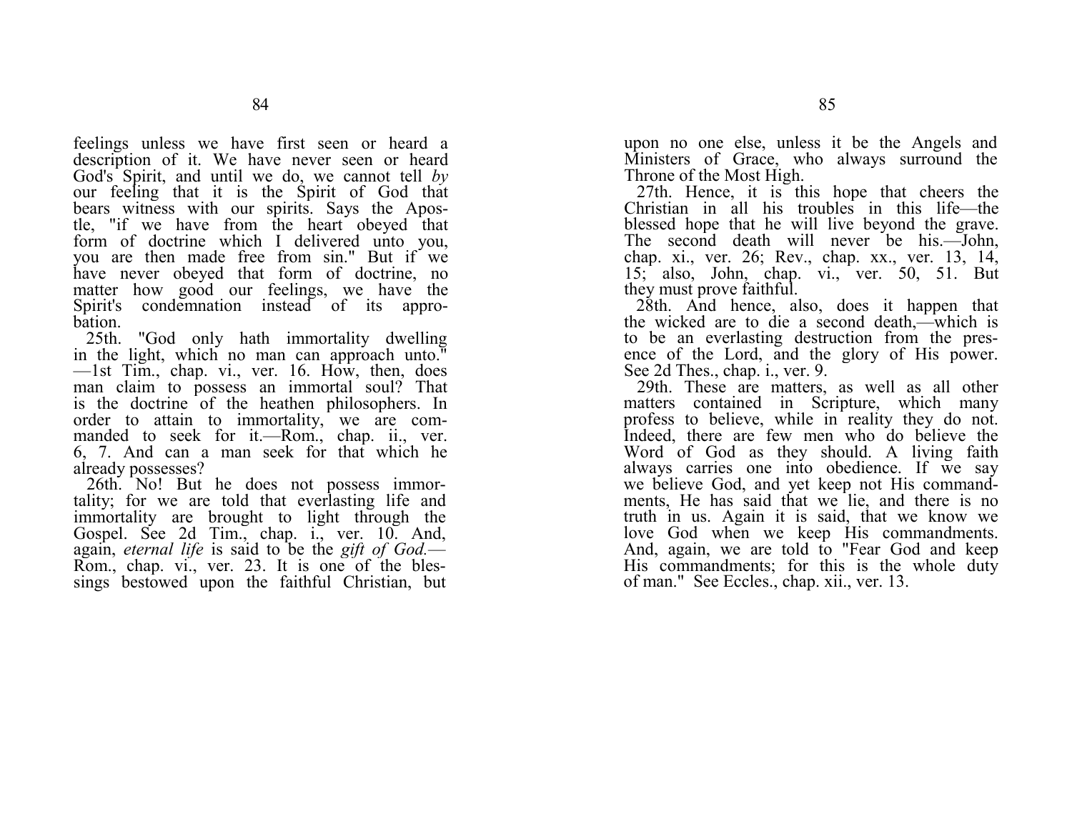feelings unless we have first seen or heard a description of it. We have never seen or heard God's Spirit, and until we do, we cannot tell *by*  our feeling that it is the Spirit of God that bears witness with our spirits. Says the Apostle, "if we have from the heart obeyed that form of doctrine which I delivered unto you, you are then made free from sin." But if we have never obeyed that form of doctrine, no matter how good our feelings, we have the Spirit's condemnation instead of its approbation.

25th. "God only hath immortality dwelling in the light, which no man can approach unto." —1st Tim., chap. vi., ver. 16. How, then, does man claim to possess an immortal soul? That is the doctrine of the heathen philosophers. In order to attain to immortality, we are commanded to seek for it.—Rom., chap. ii., ver. 6, 7. And can a man seek for that which he already possesses?

26th. No! But he does not possess immortality; for we are told that everlasting life and immortality are brought to light through the Gospel. See 2d Tim., chap. i., ver. 10. And, again, *eternal life* is said to be the *gift of God.*— Rom., chap. vi., ver. 23. It is one of the blessings bestowed upon the faithful Christian, but upon no one else, unless it be the Angels and Ministers of Grace, who always surround the Throne of the Most High.

27th. Hence, it is this hope that cheers the Christian in all his troubles in this life—the blessed hope that he will live beyond the grave. The second death will never be his.—John, chap. xi., ver. 26; Rev., chap. xx., ver. 13, 14, 15; also, John, chap. vi., ver. 50, 51. But they must prove faithful.

28th. And hence, also, does it happen that the wicked are to die a second death,—which is to be an everlasting destruction from the presence of the Lord, and the glory of His power. See 2d Thes., chap. i., ver. 9.

29th. These are matters, as well as all other matters contained in Scripture, which many profess to believe, while in reality they do not. Indeed, there are few men who do believe the Word of God as they should. A living faith always carries one into obedience. If we say we believe God, and yet keep not His commandments, He has said that we lie, and there is no truth in us. Again it is said, that we know we love God when we keep His commandments. And, again, we are told to "Fear God and keep His commandments; for this is the whole duty of man." See Eccles., chap. xii., ver. 13.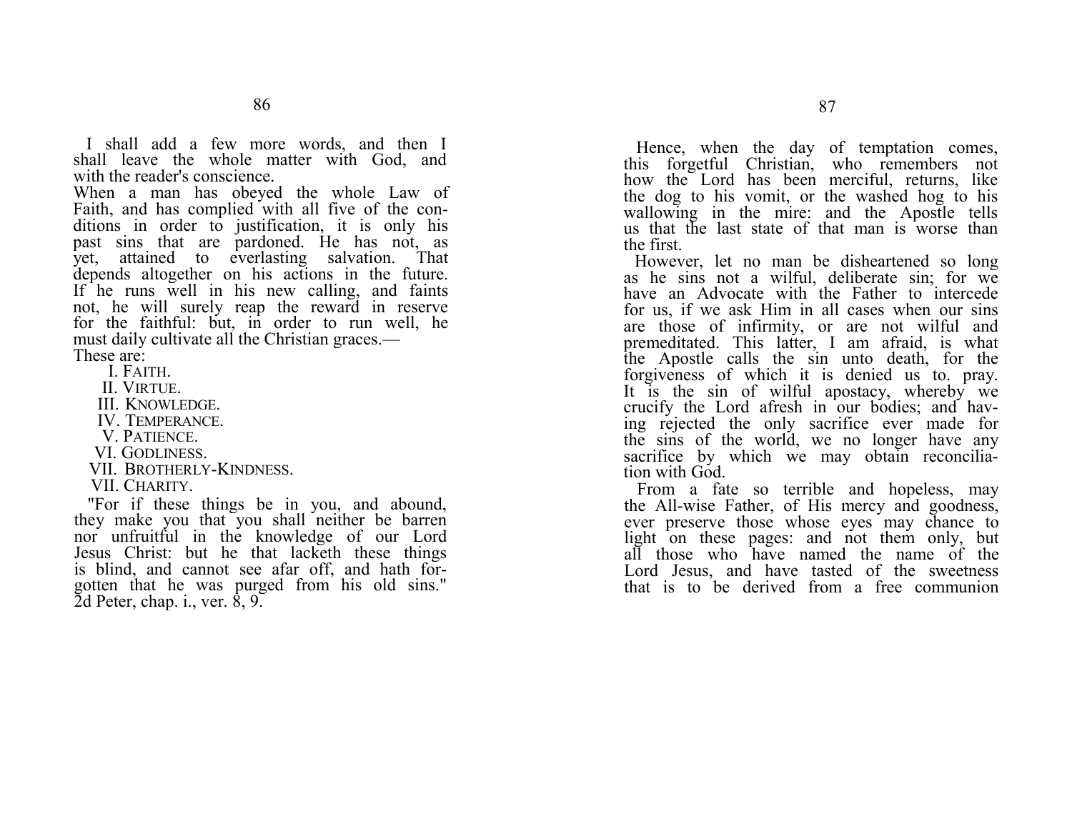I shall add a few more words, and then I shall leave the whole matter with God, and with the reader's conscience.

When a man has obeyed the whole Law of Faith, and has complied with all five of the conditions in order to justification, it is only his past sins that are pardoned. He has not, as yet, attained to everlasting salvation. That depends altogether on his actions in the future. If he runs well in his new calling, and faints not, he will surely reap the reward in reserve for the faithful: but, in order to run well, he must daily cultivate all the Christian graces.—

These are:

I. FAITH.

II. VIRTUE.

III.KNOWLEDGE.

IV.TEMPERANCE.

V. PATIENCE.

VI. GODLINESS.

VII.BROTHERLY-KINDNESS.

VII. CHARITY.

"For if these things be in you, and abound, they make you that you shall neither be barren nor unfruitful in the knowledge of our Lord Jesus Christ: but he that lacketh these things is blind, and cannot see afar off, and hath forgotten that he was purged from his old sins."  $\overline{2}$ d Peter, chap. i., ver.  $\dot{8}$ , 9.

Hence, when the day of temptation comes, this forgetful Christian, who remembers not how the Lord has been merciful, returns, like the dog to his vomit, or the washed hog to his wallowing in the mire: and the Apostle tells us that the last state of that man is worse than the first.

However, let no man be disheartened so long as he sins not a wilful, deliberate sin; for we have an Advocate with the Father to intercede for us, if we ask Him in all cases when our sins are those of infirmity, or are not wilful and premeditated. This latter, I am afraid, is what the Apostle calls the sin unto death, for the forgiveness of which it is denied us to. pray. It is the sin of wilful apostacy, whereby we crucify the Lord afresh in our bodies; and having rejected the only sacrifice ever made for the sins of the world, we no longer have any sacrifice by which we may obtain reconciliation with God.

From a fate so terrible and hopeless, may the All-wise Father, of His mercy and goodness, ever preserve those whose eyes may chance to light on these pages: and not them only, but all those who have named the name of the Lord Jesus, and have tasted of the sweetness that is to be derived from a free communion